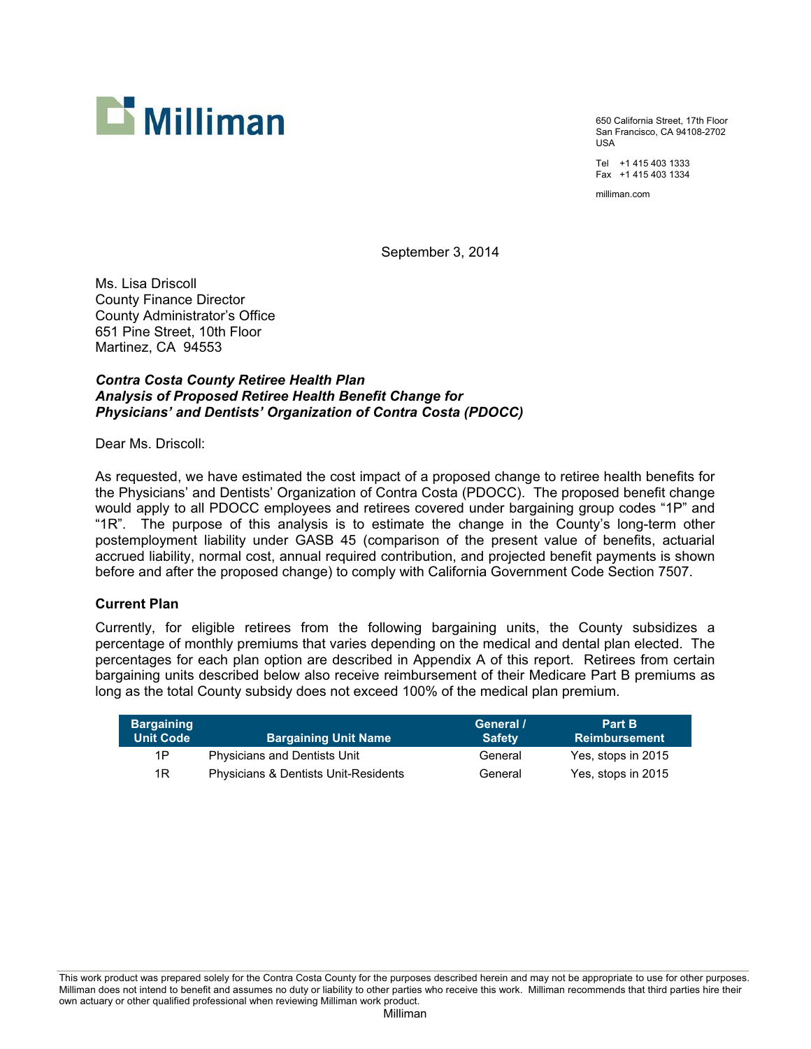

650 California Street, 17th Floor San Francisco, CA 94108-2702 USA

Tel +1 415 403 1333 Fax +1 415 403 1334

milliman.com

September 3, 2014

Ms. Lisa Driscoll County Finance Director County Administrator's Office 651 Pine Street, 10th Floor Martinez, CA 94553

*Contra Costa County Retiree Health Plan Analysis of Proposed Retiree Health Benefit Change for Physicians' and Dentists' Organization of Contra Costa (PDOCC)* 

Dear Ms. Driscoll:

As requested, we have estimated the cost impact of a proposed change to retiree health benefits for the Physicians' and Dentists' Organization of Contra Costa (PDOCC). The proposed benefit change would apply to all PDOCC employees and retirees covered under bargaining group codes "1P" and "1R". The purpose of this analysis is to estimate the change in the County's long-term other postemployment liability under GASB 45 (comparison of the present value of benefits, actuarial accrued liability, normal cost, annual required contribution, and projected benefit payments is shown before and after the proposed change) to comply with California Government Code Section 7507.

# **Current Plan**

Currently, for eligible retirees from the following bargaining units, the County subsidizes a percentage of monthly premiums that varies depending on the medical and dental plan elected. The percentages for each plan option are described in Appendix A of this report. Retirees from certain bargaining units described below also receive reimbursement of their Medicare Part B premiums as long as the total County subsidy does not exceed 100% of the medical plan premium.

| <b>Bargaining</b><br><b>Unit Code</b> | l Bargaining Unit Name <sup>।</sup>             | General /<br><b>Safety</b> | Part B<br><b>Reimbursement</b> |
|---------------------------------------|-------------------------------------------------|----------------------------|--------------------------------|
| 1P                                    | <b>Physicians and Dentists Unit</b>             | General                    | Yes, stops in 2015             |
| 1R                                    | <b>Physicians &amp; Dentists Unit-Residents</b> | General                    | Yes, stops in 2015             |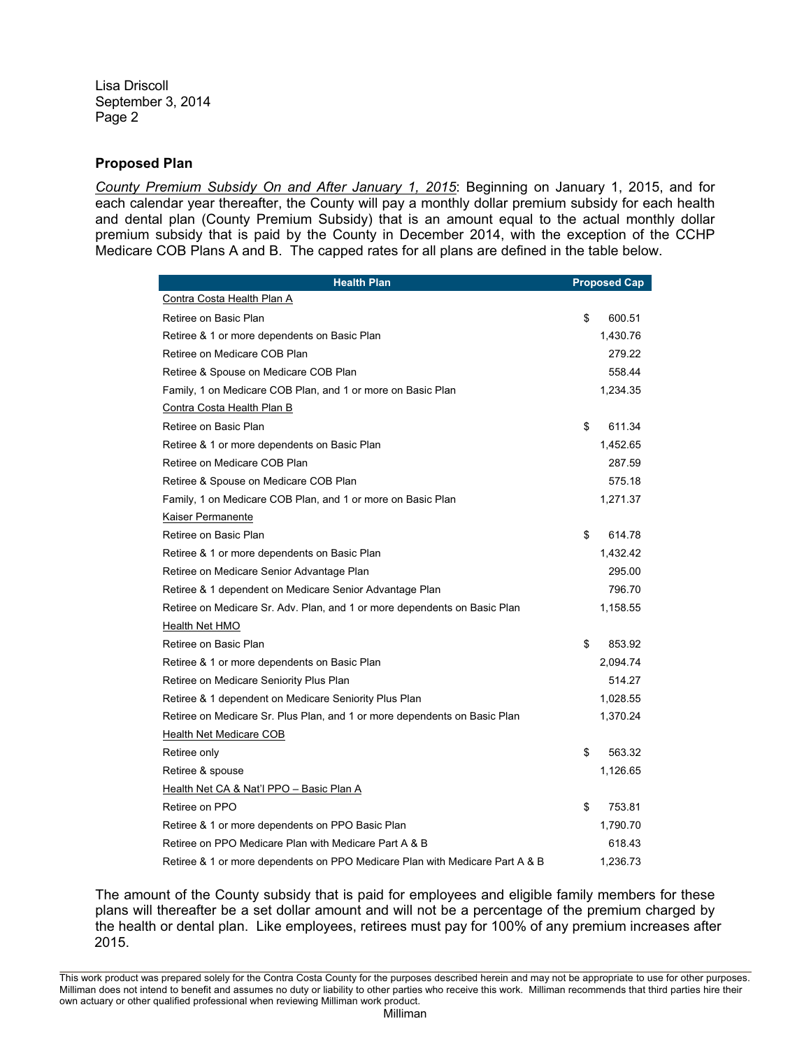# **Proposed Plan**

*County Premium Subsidy On and After January 1, 2015*: Beginning on January 1, 2015, and for each calendar year thereafter, the County will pay a monthly dollar premium subsidy for each health and dental plan (County Premium Subsidy) that is an amount equal to the actual monthly dollar premium subsidy that is paid by the County in December 2014, with the exception of the CCHP Medicare COB Plans A and B. The capped rates for all plans are defined in the table below.

| <b>Health Plan</b>                                                           | <b>Proposed Cap</b> |
|------------------------------------------------------------------------------|---------------------|
| Contra Costa Health Plan A                                                   |                     |
| Retiree on Basic Plan                                                        | \$<br>600.51        |
| Retiree & 1 or more dependents on Basic Plan                                 | 1,430.76            |
| Retiree on Medicare COB Plan                                                 | 279.22              |
| Retiree & Spouse on Medicare COB Plan                                        | 558.44              |
| Family, 1 on Medicare COB Plan, and 1 or more on Basic Plan                  | 1,234.35            |
| Contra Costa Health Plan B                                                   |                     |
| Retiree on Basic Plan                                                        | \$<br>611.34        |
| Retiree & 1 or more dependents on Basic Plan                                 | 1,452.65            |
| Retiree on Medicare COB Plan                                                 | 287.59              |
| Retiree & Spouse on Medicare COB Plan                                        | 575.18              |
| Family, 1 on Medicare COB Plan, and 1 or more on Basic Plan                  | 1,271.37            |
| Kaiser Permanente                                                            |                     |
| Retiree on Basic Plan                                                        | \$<br>614.78        |
| Retiree & 1 or more dependents on Basic Plan                                 | 1,432.42            |
| Retiree on Medicare Senior Advantage Plan                                    | 295.00              |
| Retiree & 1 dependent on Medicare Senior Advantage Plan                      | 796.70              |
| Retiree on Medicare Sr. Adv. Plan, and 1 or more dependents on Basic Plan    | 1,158.55            |
| Health Net HMO                                                               |                     |
| Retiree on Basic Plan                                                        | \$<br>853.92        |
| Retiree & 1 or more dependents on Basic Plan                                 | 2,094.74            |
| Retiree on Medicare Seniority Plus Plan                                      | 514.27              |
| Retiree & 1 dependent on Medicare Seniority Plus Plan                        | 1,028.55            |
| Retiree on Medicare Sr. Plus Plan, and 1 or more dependents on Basic Plan    | 1,370.24            |
| Health Net Medicare COB                                                      |                     |
| Retiree only                                                                 | \$<br>563.32        |
| Retiree & spouse                                                             | 1,126.65            |
| Health Net CA & Nat'l PPO - Basic Plan A                                     |                     |
| Retiree on PPO                                                               | \$<br>753.81        |
| Retiree & 1 or more dependents on PPO Basic Plan                             | 1,790.70            |
| Retiree on PPO Medicare Plan with Medicare Part A & B                        | 618.43              |
| Retiree & 1 or more dependents on PPO Medicare Plan with Medicare Part A & B | 1,236.73            |

The amount of the County subsidy that is paid for employees and eligible family members for these plans will thereafter be a set dollar amount and will not be a percentage of the premium charged by the health or dental plan. Like employees, retirees must pay for 100% of any premium increases after 2015.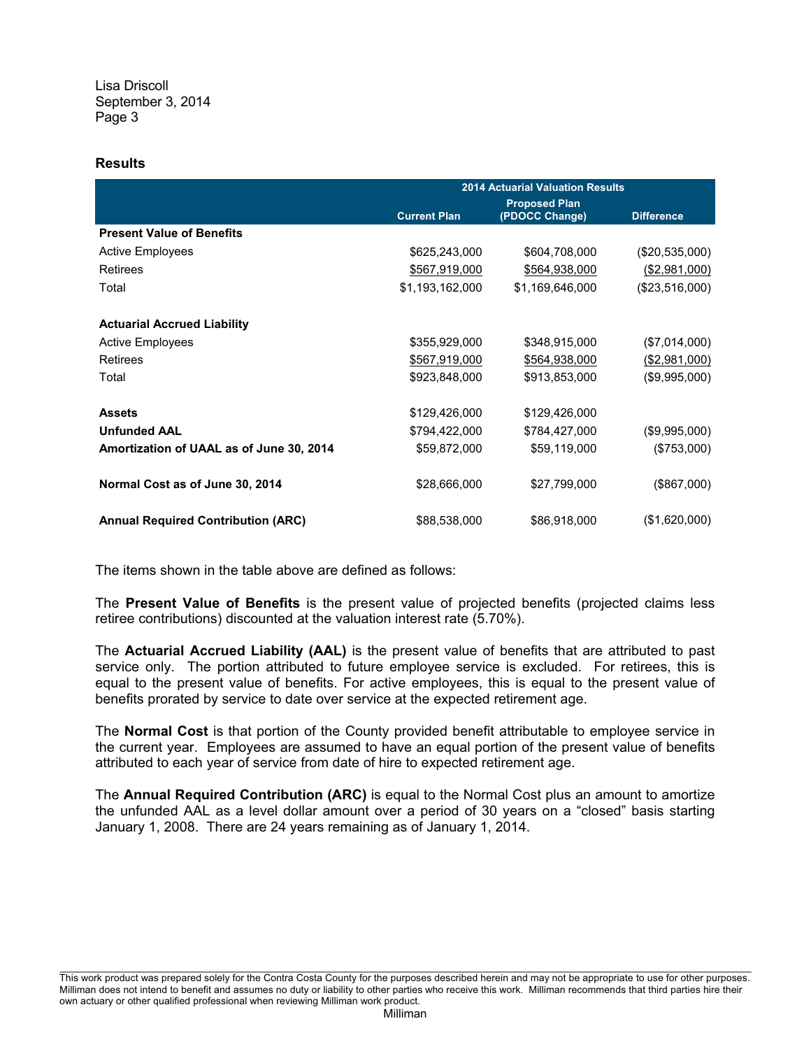## **Results**

|                                           | <b>2014 Actuarial Valuation Results</b> |                                        |                   |  |  |
|-------------------------------------------|-----------------------------------------|----------------------------------------|-------------------|--|--|
|                                           | <b>Current Plan</b>                     | <b>Proposed Plan</b><br>(PDOCC Change) | <b>Difference</b> |  |  |
| <b>Present Value of Benefits</b>          |                                         |                                        |                   |  |  |
| <b>Active Employees</b>                   | \$625,243,000                           | \$604,708,000                          | $(\$20,535,000)$  |  |  |
| <b>Retirees</b>                           | \$567,919,000                           | \$564,938,000                          | ( \$2,981,000)    |  |  |
| Total                                     | \$1,193,162,000                         | \$1,169,646,000                        | (\$23,516,000)    |  |  |
| <b>Actuarial Accrued Liability</b>        |                                         |                                        |                   |  |  |
| <b>Active Employees</b>                   | \$355,929,000                           | \$348,915,000                          | (\$7,014,000)     |  |  |
| Retirees                                  | \$567,919,000                           | \$564,938,000                          | (\$2,981,000)     |  |  |
| Total                                     | \$923,848,000                           | \$913,853,000                          | (\$9,995,000)     |  |  |
| <b>Assets</b>                             | \$129,426,000                           | \$129,426,000                          |                   |  |  |
| <b>Unfunded AAL</b>                       | \$794,422,000                           | \$784,427,000                          | (\$9,995,000)     |  |  |
| Amortization of UAAL as of June 30, 2014  | \$59,872,000                            | \$59,119,000                           | (\$753,000)       |  |  |
| Normal Cost as of June 30, 2014           | \$28,666,000                            | \$27,799,000                           | (\$867,000)       |  |  |
| <b>Annual Required Contribution (ARC)</b> | \$88,538,000                            | \$86,918,000                           | (\$1,620,000)     |  |  |

The items shown in the table above are defined as follows:

The **Present Value of Benefits** is the present value of projected benefits (projected claims less retiree contributions) discounted at the valuation interest rate (5.70%).

The **Actuarial Accrued Liability (AAL)** is the present value of benefits that are attributed to past service only. The portion attributed to future employee service is excluded. For retirees, this is equal to the present value of benefits. For active employees, this is equal to the present value of benefits prorated by service to date over service at the expected retirement age.

The **Normal Cost** is that portion of the County provided benefit attributable to employee service in the current year. Employees are assumed to have an equal portion of the present value of benefits attributed to each year of service from date of hire to expected retirement age.

The **Annual Required Contribution (ARC)** is equal to the Normal Cost plus an amount to amortize the unfunded AAL as a level dollar amount over a period of 30 years on a "closed" basis starting January 1, 2008. There are 24 years remaining as of January 1, 2014.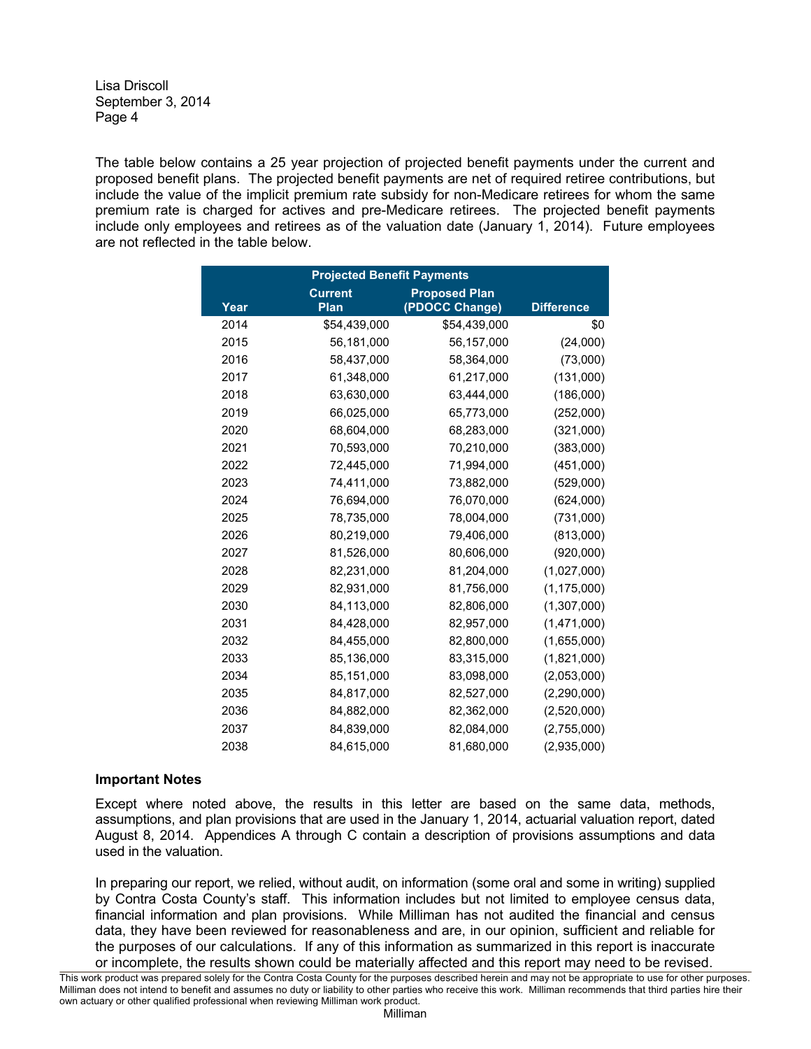The table below contains a 25 year projection of projected benefit payments under the current and proposed benefit plans. The projected benefit payments are net of required retiree contributions, but include the value of the implicit premium rate subsidy for non-Medicare retirees for whom the same premium rate is charged for actives and pre-Medicare retirees. The projected benefit payments include only employees and retirees as of the valuation date (January 1, 2014). Future employees are not reflected in the table below.

| <b>Projected Benefit Payments</b> |                |                      |                   |  |  |  |
|-----------------------------------|----------------|----------------------|-------------------|--|--|--|
|                                   | <b>Current</b> | <b>Proposed Plan</b> |                   |  |  |  |
| Year                              | Plan           | (PDOCC Change)       | <b>Difference</b> |  |  |  |
| 2014                              | \$54,439,000   | \$54,439,000         | \$0               |  |  |  |
| 2015                              | 56,181,000     | 56,157,000           | (24,000)          |  |  |  |
| 2016                              | 58,437,000     | 58,364,000           | (73,000)          |  |  |  |
| 2017                              | 61,348,000     | 61,217,000           | (131,000)         |  |  |  |
| 2018                              | 63,630,000     | 63,444,000           | (186,000)         |  |  |  |
| 2019                              | 66,025,000     | 65,773,000           | (252,000)         |  |  |  |
| 2020                              | 68,604,000     | 68,283,000           | (321,000)         |  |  |  |
| 2021                              | 70,593,000     | 70,210,000           | (383,000)         |  |  |  |
| 2022                              | 72,445,000     | 71,994,000           | (451,000)         |  |  |  |
| 2023                              | 74,411,000     | 73,882,000           | (529,000)         |  |  |  |
| 2024                              | 76,694,000     | 76,070,000           | (624,000)         |  |  |  |
| 2025                              | 78,735,000     | 78,004,000           | (731,000)         |  |  |  |
| 2026                              | 80,219,000     | 79,406,000           | (813,000)         |  |  |  |
| 2027                              | 81,526,000     | 80,606,000           | (920,000)         |  |  |  |
| 2028                              | 82,231,000     | 81,204,000           | (1,027,000)       |  |  |  |
| 2029                              | 82,931,000     | 81,756,000           | (1, 175, 000)     |  |  |  |
| 2030                              | 84,113,000     | 82,806,000           | (1,307,000)       |  |  |  |
| 2031                              | 84,428,000     | 82,957,000           | (1,471,000)       |  |  |  |
| 2032                              | 84,455,000     | 82,800,000           | (1,655,000)       |  |  |  |
| 2033                              | 85,136,000     | 83,315,000           | (1,821,000)       |  |  |  |
| 2034                              | 85,151,000     | 83,098,000           | (2,053,000)       |  |  |  |
| 2035                              | 84,817,000     | 82,527,000           | (2,290,000)       |  |  |  |
| 2036                              | 84,882,000     | 82,362,000           | (2,520,000)       |  |  |  |
| 2037                              | 84,839,000     | 82,084,000           | (2,755,000)       |  |  |  |
| 2038                              | 84,615,000     | 81,680,000           | (2,935,000)       |  |  |  |

## **Important Notes**

Except where noted above, the results in this letter are based on the same data, methods, assumptions, and plan provisions that are used in the January 1, 2014, actuarial valuation report, dated August 8, 2014. Appendices A through C contain a description of provisions assumptions and data used in the valuation.

In preparing our report, we relied, without audit, on information (some oral and some in writing) supplied by Contra Costa County's staff. This information includes but not limited to employee census data, financial information and plan provisions. While Milliman has not audited the financial and census data, they have been reviewed for reasonableness and are, in our opinion, sufficient and reliable for the purposes of our calculations. If any of this information as summarized in this report is inaccurate or incomplete, the results shown could be materially affected and this report may need to be revised.

This work product was prepared solely for the Contra Costa County for the purposes described herein and may not be appropriate to use for other purposes. Milliman does not intend to benefit and assumes no duty or liability to other parties who receive this work. Milliman recommends that third parties hire their own actuary or other qualified professional when reviewing Milliman work product.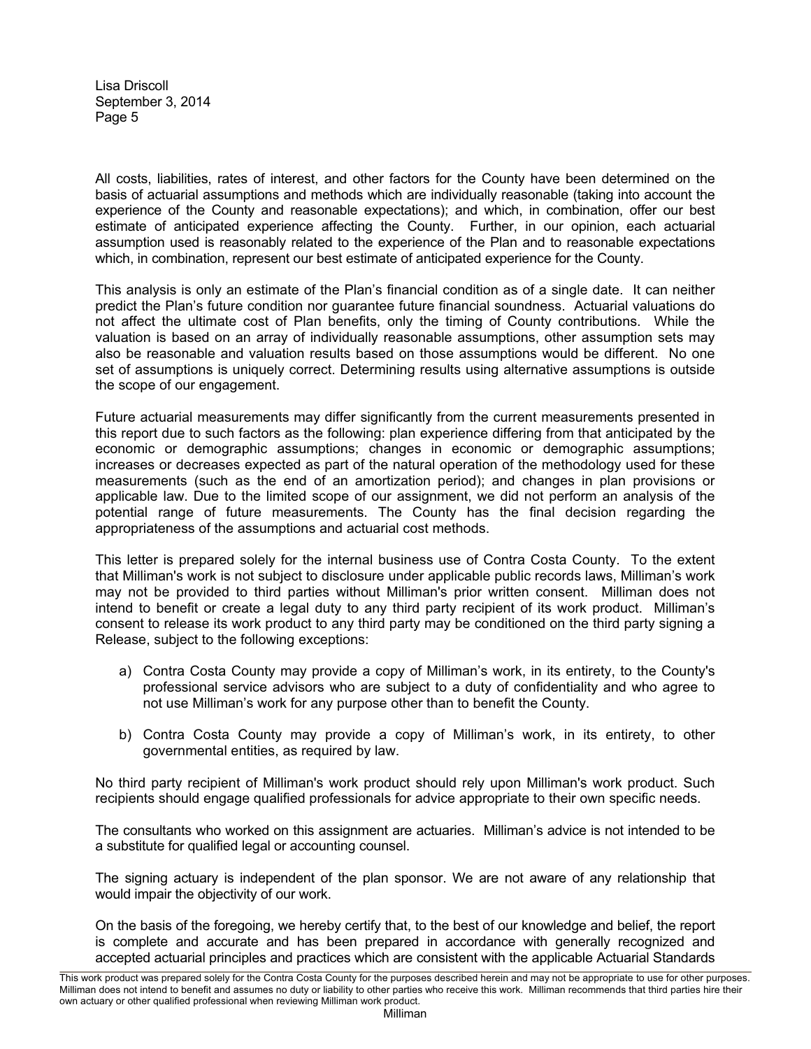All costs, liabilities, rates of interest, and other factors for the County have been determined on the basis of actuarial assumptions and methods which are individually reasonable (taking into account the experience of the County and reasonable expectations); and which, in combination, offer our best estimate of anticipated experience affecting the County. Further, in our opinion, each actuarial assumption used is reasonably related to the experience of the Plan and to reasonable expectations which, in combination, represent our best estimate of anticipated experience for the County.

This analysis is only an estimate of the Plan's financial condition as of a single date. It can neither predict the Plan's future condition nor guarantee future financial soundness. Actuarial valuations do not affect the ultimate cost of Plan benefits, only the timing of County contributions. While the valuation is based on an array of individually reasonable assumptions, other assumption sets may also be reasonable and valuation results based on those assumptions would be different. No one set of assumptions is uniquely correct. Determining results using alternative assumptions is outside the scope of our engagement.

Future actuarial measurements may differ significantly from the current measurements presented in this report due to such factors as the following: plan experience differing from that anticipated by the economic or demographic assumptions; changes in economic or demographic assumptions; increases or decreases expected as part of the natural operation of the methodology used for these measurements (such as the end of an amortization period); and changes in plan provisions or applicable law. Due to the limited scope of our assignment, we did not perform an analysis of the potential range of future measurements. The County has the final decision regarding the appropriateness of the assumptions and actuarial cost methods.

This letter is prepared solely for the internal business use of Contra Costa County. To the extent that Milliman's work is not subject to disclosure under applicable public records laws, Milliman's work may not be provided to third parties without Milliman's prior written consent. Milliman does not intend to benefit or create a legal duty to any third party recipient of its work product. Milliman's consent to release its work product to any third party may be conditioned on the third party signing a Release, subject to the following exceptions:

- a) Contra Costa County may provide a copy of Milliman's work, in its entirety, to the County's professional service advisors who are subject to a duty of confidentiality and who agree to not use Milliman's work for any purpose other than to benefit the County.
- b) Contra Costa County may provide a copy of Milliman's work, in its entirety, to other governmental entities, as required by law.

No third party recipient of Milliman's work product should rely upon Milliman's work product. Such recipients should engage qualified professionals for advice appropriate to their own specific needs.

The consultants who worked on this assignment are actuaries. Milliman's advice is not intended to be a substitute for qualified legal or accounting counsel.

The signing actuary is independent of the plan sponsor. We are not aware of any relationship that would impair the objectivity of our work.

On the basis of the foregoing, we hereby certify that, to the best of our knowledge and belief, the report is complete and accurate and has been prepared in accordance with generally recognized and accepted actuarial principles and practices which are consistent with the applicable Actuarial Standards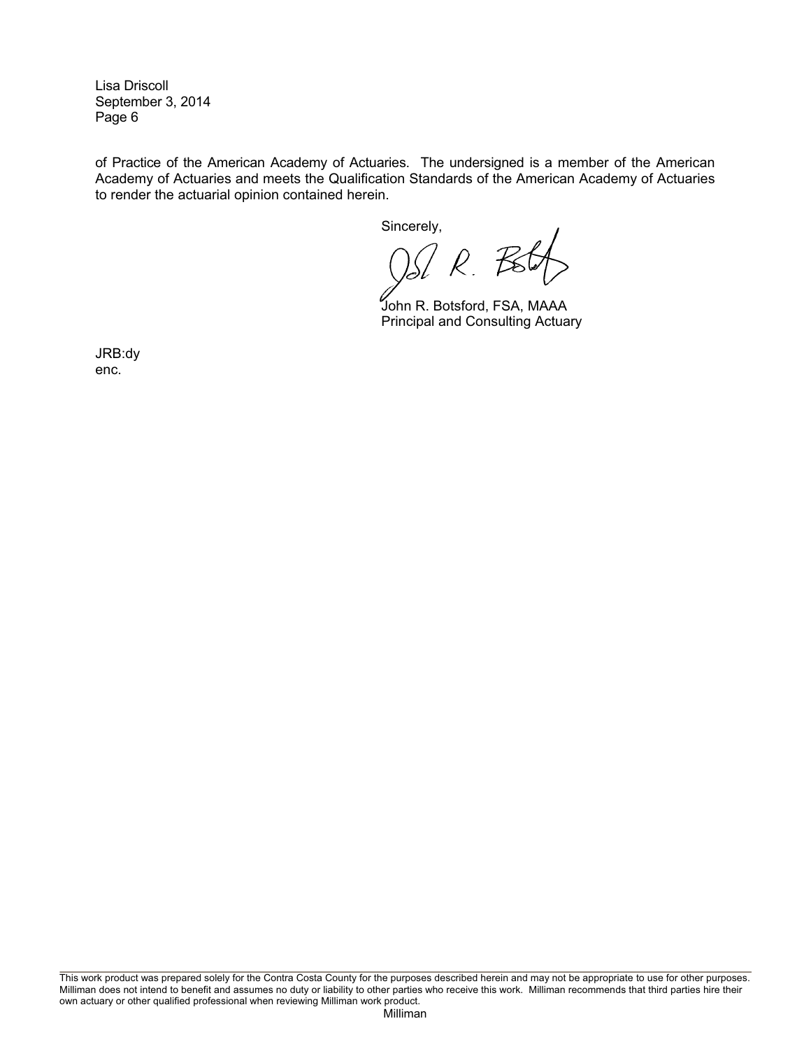of Practice of the American Academy of Actuaries. The undersigned is a member of the American Academy of Actuaries and meets the Qualification Standards of the American Academy of Actuaries to render the actuarial opinion contained herein.

Sincerely,

 $QslR.$   $R$ 

 John R. Botsford, FSA, MAAA Principal and Consulting Actuary

JRB:dy enc.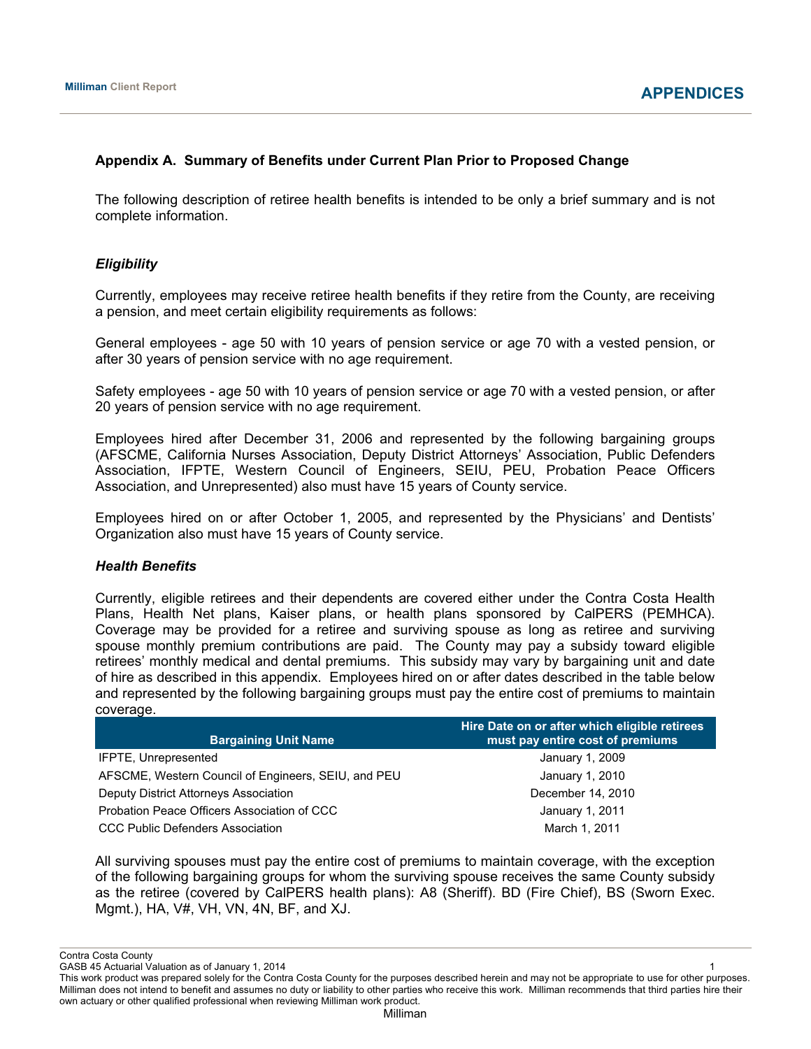# **Appendix A. Summary of Benefits under Current Plan Prior to Proposed Change**

The following description of retiree health benefits is intended to be only a brief summary and is not complete information.

## *Eligibility*

Currently, employees may receive retiree health benefits if they retire from the County, are receiving a pension, and meet certain eligibility requirements as follows:

General employees - age 50 with 10 years of pension service or age 70 with a vested pension, or after 30 years of pension service with no age requirement.

Safety employees - age 50 with 10 years of pension service or age 70 with a vested pension, or after 20 years of pension service with no age requirement.

Employees hired after December 31, 2006 and represented by the following bargaining groups (AFSCME, California Nurses Association, Deputy District Attorneys' Association, Public Defenders Association, IFPTE, Western Council of Engineers, SEIU, PEU, Probation Peace Officers Association, and Unrepresented) also must have 15 years of County service.

Employees hired on or after October 1, 2005, and represented by the Physicians' and Dentists' Organization also must have 15 years of County service.

## *Health Benefits*

Currently, eligible retirees and their dependents are covered either under the Contra Costa Health Plans, Health Net plans, Kaiser plans, or health plans sponsored by CalPERS (PEMHCA). Coverage may be provided for a retiree and surviving spouse as long as retiree and surviving spouse monthly premium contributions are paid. The County may pay a subsidy toward eligible retirees' monthly medical and dental premiums. This subsidy may vary by bargaining unit and date of hire as described in this appendix. Employees hired on or after dates described in the table below and represented by the following bargaining groups must pay the entire cost of premiums to maintain coverage.

| <b>Bargaining Unit Name</b>                         | Hire Date on or after which eligible retirees<br>must pay entire cost of premiums |
|-----------------------------------------------------|-----------------------------------------------------------------------------------|
| IFPTE, Unrepresented                                | January 1, 2009                                                                   |
| AFSCME, Western Council of Engineers, SEIU, and PEU | January 1, 2010                                                                   |
| Deputy District Attorneys Association               | December 14, 2010                                                                 |
| Probation Peace Officers Association of CCC         | January 1, 2011                                                                   |
| <b>CCC Public Defenders Association</b>             | March 1, 2011                                                                     |

All surviving spouses must pay the entire cost of premiums to maintain coverage, with the exception of the following bargaining groups for whom the surviving spouse receives the same County subsidy as the retiree (covered by CalPERS health plans): A8 (Sheriff). BD (Fire Chief), BS (Sworn Exec. Mgmt.), HA, V#, VH, VN, 4N, BF, and XJ.

Contra Costa County GASB 45 Actuarial Valuation as of January 1, 2014 1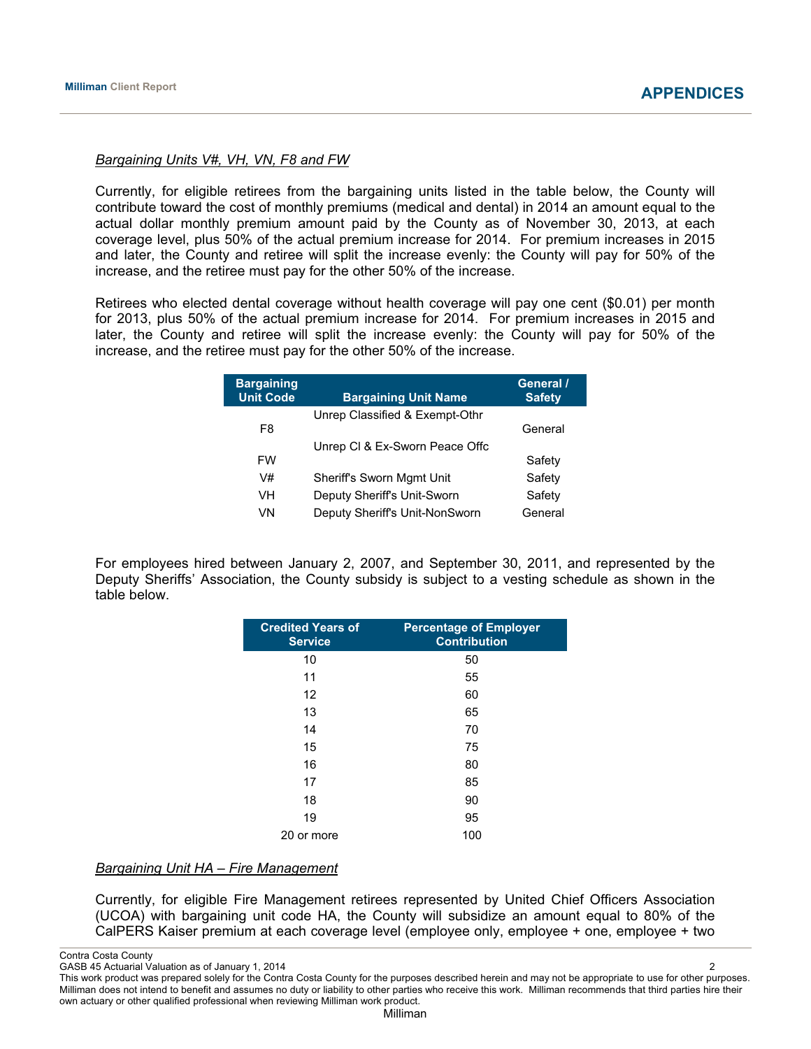## *Bargaining Units V#, VH, VN, F8 and FW*

Currently, for eligible retirees from the bargaining units listed in the table below, the County will contribute toward the cost of monthly premiums (medical and dental) in 2014 an amount equal to the actual dollar monthly premium amount paid by the County as of November 30, 2013, at each coverage level, plus 50% of the actual premium increase for 2014. For premium increases in 2015 and later, the County and retiree will split the increase evenly: the County will pay for 50% of the increase, and the retiree must pay for the other 50% of the increase.

Retirees who elected dental coverage without health coverage will pay one cent (\$0.01) per month for 2013, plus 50% of the actual premium increase for 2014. For premium increases in 2015 and later, the County and retiree will split the increase evenly: the County will pay for 50% of the increase, and the retiree must pay for the other 50% of the increase.

| <b>Bargaining</b><br><b>Unit Code</b> | <b>Bargaining Unit Name</b>    | General /<br><b>Safety</b> |
|---------------------------------------|--------------------------------|----------------------------|
|                                       | Unrep Classified & Exempt-Othr |                            |
| F8                                    |                                | General                    |
|                                       | Unrep CI & Ex-Sworn Peace Offc |                            |
| <b>FW</b>                             |                                | Safety                     |
| V#                                    | Sheriff's Sworn Mgmt Unit      | Safety                     |
| VH                                    | Deputy Sheriff's Unit-Sworn    | Safety                     |
| VN                                    | Deputy Sheriff's Unit-NonSworn | General                    |

For employees hired between January 2, 2007, and September 30, 2011, and represented by the Deputy Sheriffs' Association, the County subsidy is subject to a vesting schedule as shown in the table below.

| <b>Credited Years of</b><br><b>Service</b> | <b>Percentage of Employer</b><br><b>Contribution</b> |
|--------------------------------------------|------------------------------------------------------|
| 10                                         | 50                                                   |
| 11                                         | 55                                                   |
| 12                                         | 60                                                   |
| 13                                         | 65                                                   |
| 14                                         | 70                                                   |
| 15                                         | 75                                                   |
| 16                                         | 80                                                   |
| 17                                         | 85                                                   |
| 18                                         | 90                                                   |
| 19                                         | 95                                                   |
| 20 or more                                 | 100                                                  |

## *Bargaining Unit HA – Fire Management*

Currently, for eligible Fire Management retirees represented by United Chief Officers Association (UCOA) with bargaining unit code HA, the County will subsidize an amount equal to 80% of the CalPERS Kaiser premium at each coverage level (employee only, employee + one, employee + two

Contra Costa County

GASB 45 Actuarial Valuation as of January 1, 2014 2

This work product was prepared solely for the Contra Costa County for the purposes described herein and may not be appropriate to use for other purposes. Milliman does not intend to benefit and assumes no duty or liability to other parties who receive this work. Milliman recommends that third parties hire their own actuary or other qualified professional when reviewing Milliman work product.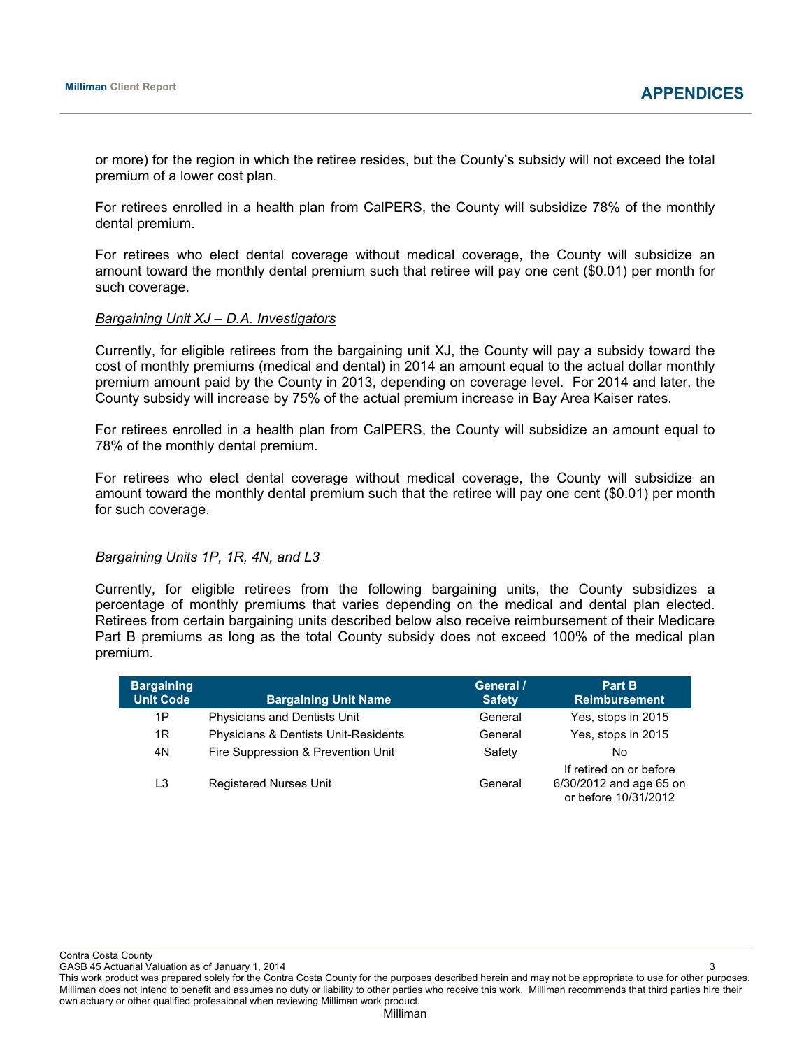or more) for the region in which the retiree resides, but the County's subsidy will not exceed the total premium of a lower cost plan.

For retirees enrolled in a health plan from CalPERS, the County will subsidize 78% of the monthly dental premium.

For retirees who elect dental coverage without medical coverage, the County will subsidize an amount toward the monthly dental premium such that retiree will pay one cent (\$0.01) per month for such coverage.

### *Bargaining Unit XJ – D.A. Investigators*

Currently, for eligible retirees from the bargaining unit XJ, the County will pay a subsidy toward the cost of monthly premiums (medical and dental) in 2014 an amount equal to the actual dollar monthly premium amount paid by the County in 2013, depending on coverage level. For 2014 and later, the County subsidy will increase by 75% of the actual premium increase in Bay Area Kaiser rates.

For retirees enrolled in a health plan from CalPERS, the County will subsidize an amount equal to 78% of the monthly dental premium.

For retirees who elect dental coverage without medical coverage, the County will subsidize an amount toward the monthly dental premium such that the retiree will pay one cent (\$0.01) per month for such coverage.

## *Bargaining Units 1P, 1R, 4N, and L3*

Currently, for eligible retirees from the following bargaining units, the County subsidizes a percentage of monthly premiums that varies depending on the medical and dental plan elected. Retirees from certain bargaining units described below also receive reimbursement of their Medicare Part B premiums as long as the total County subsidy does not exceed 100% of the medical plan premium.

| <b>Bargaining</b><br><b>Unit Code</b> | <b>Bargaining Unit Name</b>          | General /<br><b>Safety</b> | Part B<br><b>Reimbursement</b>                                             |
|---------------------------------------|--------------------------------------|----------------------------|----------------------------------------------------------------------------|
| 1P                                    | Physicians and Dentists Unit         | General                    | Yes, stops in 2015                                                         |
| 1R                                    | Physicians & Dentists Unit-Residents | General                    | Yes, stops in 2015                                                         |
| 4N                                    | Fire Suppression & Prevention Unit   | Safety                     | No                                                                         |
| L3                                    | <b>Registered Nurses Unit</b>        | General                    | If retired on or before<br>6/30/2012 and age 65 on<br>or before 10/31/2012 |

Contra Costa County

GASB 45 Actuarial Valuation as of January 1, 2014 33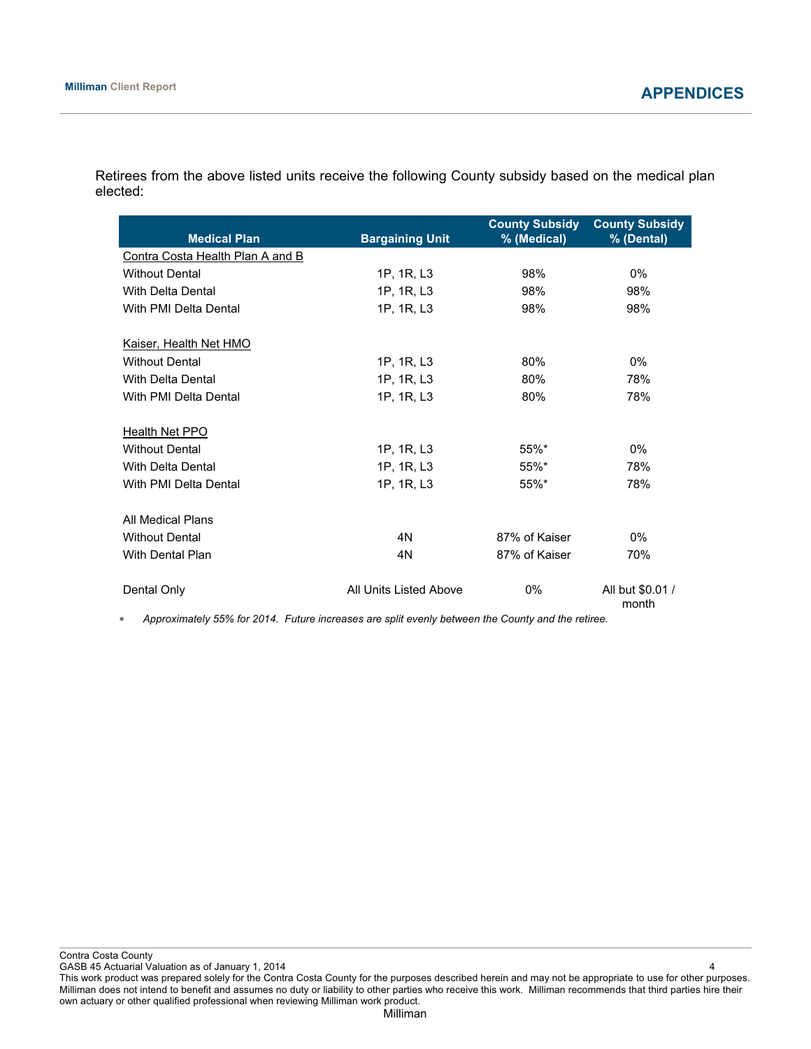| <b>Medical Plan</b>              | <b>Bargaining Unit</b> | <b>County Subsidy</b><br>% (Medical) | <b>County Subsidy</b><br>% (Dental) |
|----------------------------------|------------------------|--------------------------------------|-------------------------------------|
| Contra Costa Health Plan A and B |                        |                                      |                                     |
| <b>Without Dental</b>            | 1P, 1R, L3             | 98%                                  | $0\%$                               |
| With Delta Dental                | 1P, 1R, L3             | 98%                                  | 98%                                 |
| With PMI Delta Dental            | 1P, 1R, L3             | 98%                                  | 98%                                 |
| Kaiser, Health Net HMO           |                        |                                      |                                     |
| <b>Without Dental</b>            | 1P, 1R, L3             | 80%                                  | $0\%$                               |
| <b>With Delta Dental</b>         | 1P, 1R, L3             | 80%                                  | 78%                                 |
| With PMI Delta Dental            | 1P, 1R, L3             | 80%                                  | 78%                                 |
| <b>Health Net PPO</b>            |                        |                                      |                                     |
| <b>Without Dental</b>            | 1P, 1R, L3             | $55\%$ *                             | $0\%$                               |
| <b>With Delta Dental</b>         | 1P, 1R, L3             | $55\%$ *                             | 78%                                 |
| With PMI Delta Dental            | 1P, 1R, L3             | $55\%$ *                             | 78%                                 |
| All Medical Plans                |                        |                                      |                                     |
| <b>Without Dental</b>            | 4N                     | 87% of Kaiser                        | $0\%$                               |
| <b>With Dental Plan</b>          | 4N                     | 87% of Kaiser                        | 70%                                 |
| Dental Only                      | All Units Listed Above | $0\%$                                | All but \$0.01 /<br>month           |

Retirees from the above listed units receive the following County subsidy based on the medical plan elected:

-*Approximately 55% for 2014. Future increases are split evenly between the County and the retiree.* 

Contra Costa County

GASB 45 Actuarial Valuation as of January 1, 2014 4

This work product was prepared solely for the Contra Costa County for the purposes described herein and may not be appropriate to use for other purposes. Milliman does not intend to benefit and assumes no duty or liability to other parties who receive this work. Milliman recommends that third parties hire their own actuary or other qualified professional when reviewing Milliman work product.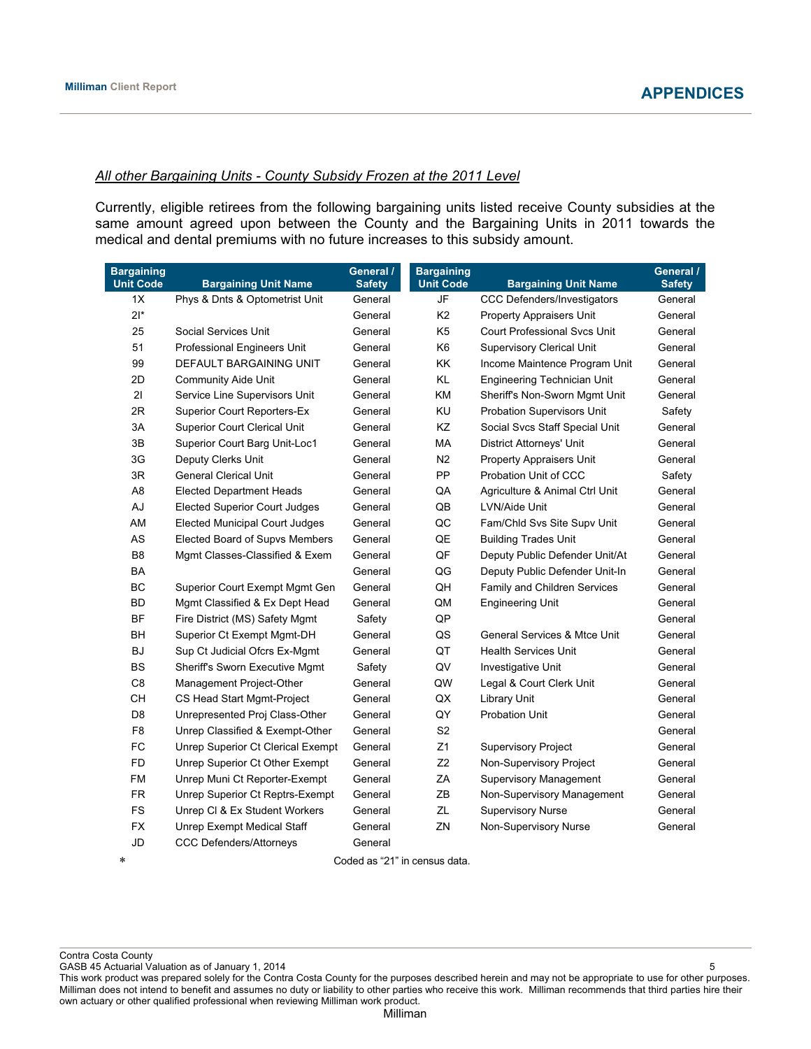### *All other Bargaining Units - County Subsidy Frozen at the 2011 Level*

Currently, eligible retirees from the following bargaining units listed receive County subsidies at the same amount agreed upon between the County and the Bargaining Units in 2011 towards the medical and dental premiums with no future increases to this subsidy amount.

| <b>Bargaining</b><br><b>Unit Code</b> | <b>Bargaining Unit Name</b>           | General /<br><b>Safety</b> | <b>Bargaining</b><br><b>Unit Code</b> | <b>Bargaining Unit Name</b>             | General /<br><b>Safety</b> |
|---------------------------------------|---------------------------------------|----------------------------|---------------------------------------|-----------------------------------------|----------------------------|
| 1X                                    | Phys & Dnts & Optometrist Unit        | General                    | JF                                    | <b>CCC Defenders/Investigators</b>      | General                    |
| $21*$                                 |                                       | General                    | K <sub>2</sub>                        | <b>Property Appraisers Unit</b>         | General                    |
| 25                                    | Social Services Unit                  | General                    | K <sub>5</sub>                        | <b>Court Professional Svcs Unit</b>     | General                    |
| 51                                    | Professional Engineers Unit           | General                    | K <sub>6</sub>                        | <b>Supervisory Clerical Unit</b>        | General                    |
| 99                                    | DEFAULT BARGAINING UNIT               | General                    | KK                                    | Income Maintence Program Unit           | General                    |
| 2D                                    | <b>Community Aide Unit</b>            | General                    | KL                                    | <b>Engineering Technician Unit</b>      | General                    |
| 21                                    | Service Line Supervisors Unit         | General                    | <b>KM</b>                             | Sheriff's Non-Sworn Mgmt Unit           | General                    |
| 2R                                    | <b>Superior Court Reporters-Ex</b>    | General                    | KU                                    | <b>Probation Supervisors Unit</b>       | Safety                     |
| 3A                                    | <b>Superior Court Clerical Unit</b>   | General                    | ΚZ                                    | Social Svcs Staff Special Unit          | General                    |
| 3B                                    | Superior Court Barg Unit-Loc1         | General                    | МA                                    | <b>District Attorneys' Unit</b>         | General                    |
| 3G                                    | Deputy Clerks Unit                    | General                    | N2                                    | <b>Property Appraisers Unit</b>         | General                    |
| 3R                                    | <b>General Clerical Unit</b>          | General                    | PP                                    | Probation Unit of CCC                   | Safety                     |
| A <sub>8</sub>                        | <b>Elected Department Heads</b>       | General                    | QA                                    | Agriculture & Animal Ctrl Unit          | General                    |
| AJ                                    | <b>Elected Superior Court Judges</b>  | General                    | QB                                    | LVN/Aide Unit                           | General                    |
| AM                                    | <b>Elected Municipal Court Judges</b> | General                    | QC                                    | Fam/Chld Svs Site Supv Unit             | General                    |
| AS                                    | Elected Board of Supvs Members        | General                    | QE                                    | <b>Building Trades Unit</b>             | General                    |
| B <sub>8</sub>                        | Mgmt Classes-Classified & Exem        | General                    | QF                                    | Deputy Public Defender Unit/At          | General                    |
| BA                                    |                                       | General                    | QG                                    | Deputy Public Defender Unit-In          | General                    |
| BC                                    | Superior Court Exempt Mgmt Gen        | General                    | QH                                    | Family and Children Services            | General                    |
| <b>BD</b>                             | Mgmt Classified & Ex Dept Head        | General                    | QM                                    | <b>Engineering Unit</b>                 | General                    |
| <b>BF</b>                             | Fire District (MS) Safety Mgmt        | Safety                     | QP                                    |                                         | General                    |
| BH                                    | Superior Ct Exempt Mgmt-DH            | General                    | QS                                    | <b>General Services &amp; Mtce Unit</b> | General                    |
| <b>BJ</b>                             | Sup Ct Judicial Ofcrs Ex-Mgmt         | General                    | QT                                    | <b>Health Services Unit</b>             | General                    |
| BS                                    | <b>Sheriff's Sworn Executive Mgmt</b> | Safety                     | QV                                    | Investigative Unit                      | General                    |
| C <sub>8</sub>                        | Management Project-Other              | General                    | QW                                    | Legal & Court Clerk Unit                | General                    |
| CН                                    | CS Head Start Mgmt-Project            | General                    | QX                                    | <b>Library Unit</b>                     | General                    |
| D <sub>8</sub>                        | Unrepresented Proj Class-Other        | General                    | QY                                    | <b>Probation Unit</b>                   | General                    |
| F <sub>8</sub>                        | Unrep Classified & Exempt-Other       | General                    | S <sub>2</sub>                        |                                         | General                    |
| <b>FC</b>                             | Unrep Superior Ct Clerical Exempt     | General                    | Z1                                    | <b>Supervisory Project</b>              | General                    |
| <b>FD</b>                             | Unrep Superior Ct Other Exempt        | General                    | Z <sub>2</sub>                        | Non-Supervisory Project                 | General                    |
| FM                                    | Unrep Muni Ct Reporter-Exempt         | General                    | ZA                                    | <b>Supervisory Management</b>           | General                    |
| FR                                    | Unrep Superior Ct Reptrs-Exempt       | General                    | ZB                                    | Non-Supervisory Management              | General                    |
| <b>FS</b>                             | Unrep CI & Ex Student Workers         | General                    | ZL                                    | <b>Supervisory Nurse</b>                | General                    |
| <b>FX</b>                             | <b>Unrep Exempt Medical Staff</b>     | General                    | ZN                                    | Non-Supervisory Nurse                   | General                    |
| JD                                    | <b>CCC Defenders/Attorneys</b>        | General                    |                                       |                                         |                            |

-

Coded as "21" in census data.

GASB 45 Actuarial Valuation as of January 1, 2014 **5** Separation 2014 **5** Separation 2014 **5** Separation 2014 **5** Separation 2014 **5** Separation 2014 **5** Separation 2014 **5** Separation 2014 **6** Separation 2014 **6** Separati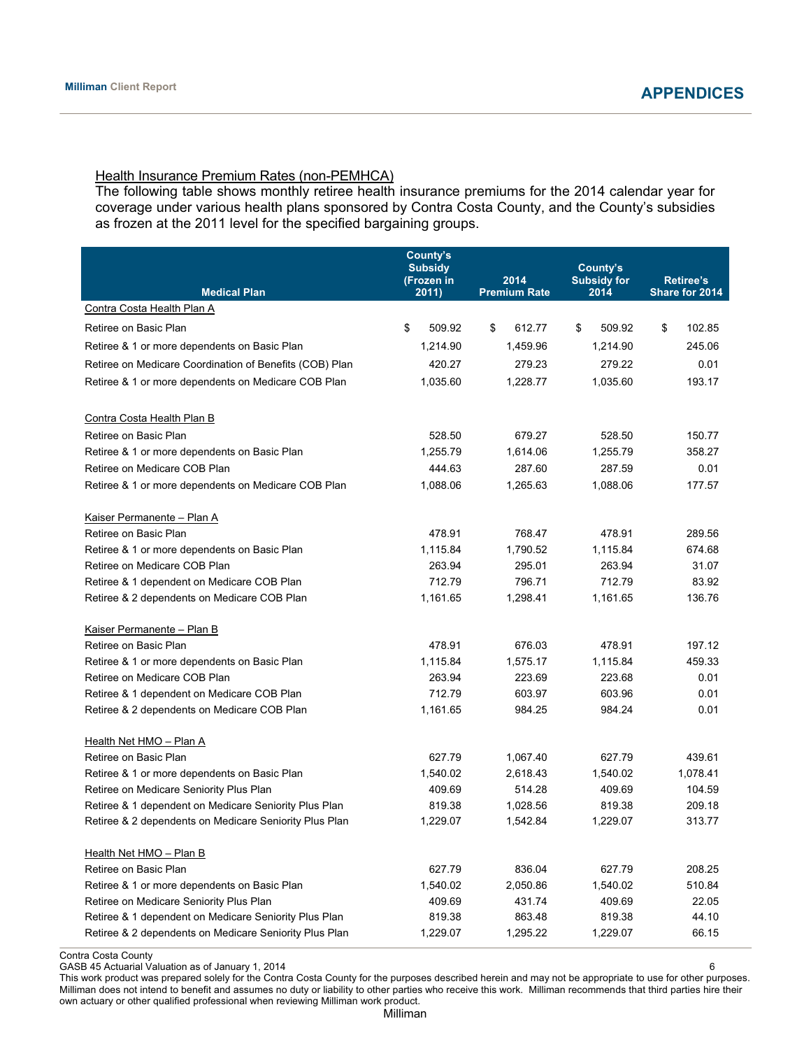### Health Insurance Premium Rates (non-PEMHCA)

The following table shows monthly retiree health insurance premiums for the 2014 calendar year for coverage under various health plans sponsored by Contra Costa County, and the County's subsidies as frozen at the 2011 level for the specified bargaining groups.

|                                                         | County's<br><b>Subsidy</b><br>(Frozen in | 2014                | County's<br><b>Subsidy for</b> | <b>Retiree's</b> |  |
|---------------------------------------------------------|------------------------------------------|---------------------|--------------------------------|------------------|--|
| <b>Medical Plan</b><br>Contra Costa Health Plan A       | 2011)                                    | <b>Premium Rate</b> | 2014                           | Share for 2014   |  |
| Retiree on Basic Plan                                   | \$<br>509.92                             | \$<br>612.77        | \$<br>509.92                   | \$<br>102.85     |  |
|                                                         |                                          |                     | 1,214.90                       |                  |  |
| Retiree & 1 or more dependents on Basic Plan            | 1,214.90                                 | 1,459.96            |                                | 245.06           |  |
| Retiree on Medicare Coordination of Benefits (COB) Plan | 420.27                                   | 279.23              | 279.22                         | 0.01             |  |
| Retiree & 1 or more dependents on Medicare COB Plan     | 1,035.60                                 | 1.228.77            | 1,035.60                       | 193.17           |  |
| Contra Costa Health Plan B                              |                                          |                     |                                |                  |  |
| Retiree on Basic Plan                                   | 528.50                                   | 679.27              | 528.50                         | 150.77           |  |
| Retiree & 1 or more dependents on Basic Plan            | 1,255.79                                 | 1,614.06            | 1,255.79                       | 358.27           |  |
| Retiree on Medicare COB Plan                            | 444.63                                   | 287.60              | 287.59                         | 0.01             |  |
| Retiree & 1 or more dependents on Medicare COB Plan     | 1,088.06                                 | 1,265.63            | 1,088.06                       | 177.57           |  |
| Kaiser Permanente - Plan A                              |                                          |                     |                                |                  |  |
| Retiree on Basic Plan                                   | 478.91                                   | 768.47              | 478.91                         | 289.56           |  |
| Retiree & 1 or more dependents on Basic Plan            | 1.115.84                                 | 1,790.52            | 1,115.84                       | 674.68           |  |
| Retiree on Medicare COB Plan                            | 263.94                                   | 295.01              | 263.94                         | 31.07            |  |
| Retiree & 1 dependent on Medicare COB Plan              | 712.79                                   | 796.71              | 712.79                         | 83.92            |  |
| Retiree & 2 dependents on Medicare COB Plan             | 1,161.65                                 | 1,298.41            | 1.161.65                       | 136.76           |  |
| Kaiser Permanente - Plan B                              |                                          |                     |                                |                  |  |
| Retiree on Basic Plan                                   | 478.91                                   | 676.03              | 478.91                         | 197.12           |  |
| Retiree & 1 or more dependents on Basic Plan            | 1,115.84                                 | 1,575.17            | 1,115.84                       | 459.33           |  |
| Retiree on Medicare COB Plan                            | 263.94                                   | 223.69              | 223.68                         | 0.01             |  |
| Retiree & 1 dependent on Medicare COB Plan              | 712.79                                   | 603.97              | 603.96                         | 0.01             |  |
| Retiree & 2 dependents on Medicare COB Plan             | 1,161.65                                 | 984.25              | 984.24                         | 0.01             |  |
| Health Net HMO - Plan A                                 |                                          |                     |                                |                  |  |
| Retiree on Basic Plan                                   | 627.79                                   | 1,067.40            | 627.79                         | 439.61           |  |
| Retiree & 1 or more dependents on Basic Plan            | 1,540.02                                 | 2,618.43            | 1,540.02                       | 1,078.41         |  |
| Retiree on Medicare Seniority Plus Plan                 | 409.69                                   | 514.28              | 409.69                         | 104.59           |  |
| Retiree & 1 dependent on Medicare Seniority Plus Plan   | 819.38                                   | 1,028.56            | 819.38                         | 209.18           |  |
| Retiree & 2 dependents on Medicare Seniority Plus Plan  | 1,229.07                                 | 1,542.84            | 1,229.07                       | 313.77           |  |
| Health Net HMO - Plan B                                 |                                          |                     |                                |                  |  |
| Retiree on Basic Plan                                   | 627.79                                   | 836.04              | 627.79                         | 208.25           |  |
| Retiree & 1 or more dependents on Basic Plan            | 1,540.02                                 | 2,050.86            | 1,540.02                       | 510.84           |  |
| Retiree on Medicare Seniority Plus Plan                 | 409.69                                   | 431.74              | 409.69                         | 22.05            |  |
| Retiree & 1 dependent on Medicare Seniority Plus Plan   | 819.38                                   | 863.48              | 819.38                         | 44.10            |  |
| Retiree & 2 dependents on Medicare Seniority Plus Plan  | 1,229.07                                 | 1,295.22            | 1,229.07                       | 66.15            |  |

Contra Costa County

GASB 45 Actuarial Valuation as of January 1, 2014 **6 GASB 45 Actuarial Valuation as of January 1**, 2014 **6**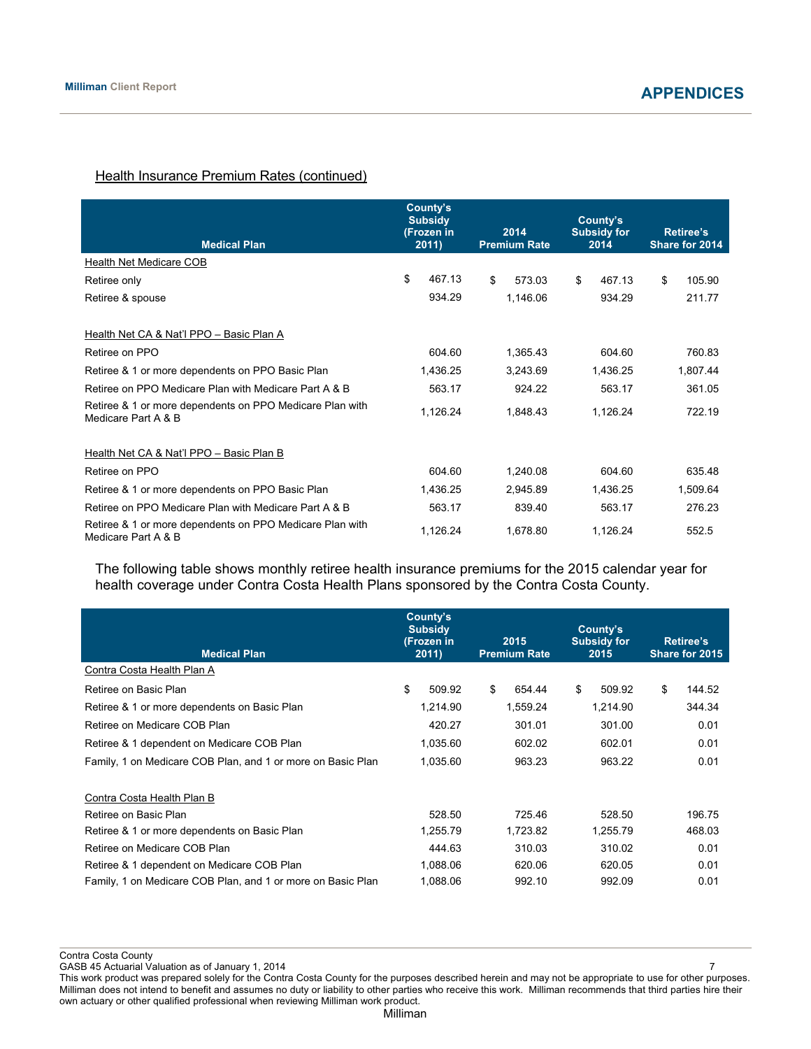## **Health Insurance Premium Rates (continued)**

| <b>Medical Plan</b>                                                             |    | County's<br><b>Subsidy</b><br>(Frozen in<br>2011) |    | 2014<br><b>Premium Rate</b> |    | County's<br><b>Subsidy for</b><br>2014 |    | Retiree's<br>Share for 2014 |  |
|---------------------------------------------------------------------------------|----|---------------------------------------------------|----|-----------------------------|----|----------------------------------------|----|-----------------------------|--|
| Health Net Medicare COB                                                         |    |                                                   |    |                             |    |                                        |    |                             |  |
| Retiree only                                                                    | \$ | 467.13                                            | \$ | 573.03                      | \$ | 467.13                                 | \$ | 105.90                      |  |
| Retiree & spouse                                                                |    | 934.29                                            |    | 1,146.06                    |    | 934.29                                 |    | 211.77                      |  |
| Health Net CA & Nat'l PPO - Basic Plan A                                        |    |                                                   |    |                             |    |                                        |    |                             |  |
| Retiree on PPO                                                                  |    | 604.60                                            |    | 1,365.43                    |    | 604.60                                 |    | 760.83                      |  |
| Retiree & 1 or more dependents on PPO Basic Plan                                |    | 1,436.25                                          |    | 3,243.69                    |    | 1,436.25                               |    | 1,807.44                    |  |
| Retiree on PPO Medicare Plan with Medicare Part A & B                           |    | 563.17                                            |    | 924.22                      |    | 563.17                                 |    | 361.05                      |  |
| Retiree & 1 or more dependents on PPO Medicare Plan with<br>Medicare Part A & B |    | 1,126.24                                          |    | 1,848.43                    |    | 1,126.24                               |    | 722.19                      |  |
| Health Net CA & Nat'l PPO - Basic Plan B                                        |    |                                                   |    |                             |    |                                        |    |                             |  |
| Retiree on PPO                                                                  |    | 604.60                                            |    | 1,240.08                    |    | 604.60                                 |    | 635.48                      |  |
| Retiree & 1 or more dependents on PPO Basic Plan                                |    | 1,436.25                                          |    | 2,945.89                    |    | 1,436.25                               |    | 1,509.64                    |  |
| Retiree on PPO Medicare Plan with Medicare Part A & B                           |    | 563.17                                            |    | 839.40                      |    | 563.17                                 |    | 276.23                      |  |
| Retiree & 1 or more dependents on PPO Medicare Plan with<br>Medicare Part A & B |    | 1,126.24                                          |    | 1,678.80                    |    | 1,126.24                               |    | 552.5                       |  |

The following table shows monthly retiree health insurance premiums for the 2015 calendar year for health coverage under Contra Costa Health Plans sponsored by the Contra Costa County.

| <b>Medical Plan</b>                                         | County's<br><b>Subsidy</b><br>(Frozen in<br>2011) | 2015<br><b>Premium Rate</b> | County's<br><b>Subsidy for</b><br>2015 | <b>Retiree's</b><br>Share for 2015 |
|-------------------------------------------------------------|---------------------------------------------------|-----------------------------|----------------------------------------|------------------------------------|
| Contra Costa Health Plan A                                  |                                                   |                             |                                        |                                    |
| Retiree on Basic Plan                                       | \$<br>509.92                                      | \$<br>654.44                | \$<br>509.92                           | \$<br>144.52                       |
| Retiree & 1 or more dependents on Basic Plan                | 1,214.90                                          | 1,559.24                    | 1,214.90                               | 344.34                             |
| Retiree on Medicare COB Plan                                | 420.27                                            | 301.01                      | 301.00                                 | 0.01                               |
| Retiree & 1 dependent on Medicare COB Plan                  | 1.035.60                                          | 602.02                      | 602.01                                 | 0.01                               |
| Family, 1 on Medicare COB Plan, and 1 or more on Basic Plan | 1,035.60                                          | 963.23                      | 963.22                                 | 0.01                               |
| Contra Costa Health Plan B                                  |                                                   |                             |                                        |                                    |
| Retiree on Basic Plan                                       | 528.50                                            | 725.46                      | 528.50                                 | 196.75                             |
| Retiree & 1 or more dependents on Basic Plan                | 1,255.79                                          | 1,723.82                    | 1,255.79                               | 468.03                             |
| Retiree on Medicare COB Plan                                | 444.63                                            | 310.03                      | 310.02                                 | 0.01                               |
| Retiree & 1 dependent on Medicare COB Plan                  | 1,088.06                                          | 620.06                      | 620.05                                 | 0.01                               |
| Family, 1 on Medicare COB Plan, and 1 or more on Basic Plan | 1,088.06                                          | 992.10                      | 992.09                                 | 0.01                               |

Contra Costa County

GASB 45 Actuarial Valuation as of January 1, 2014 7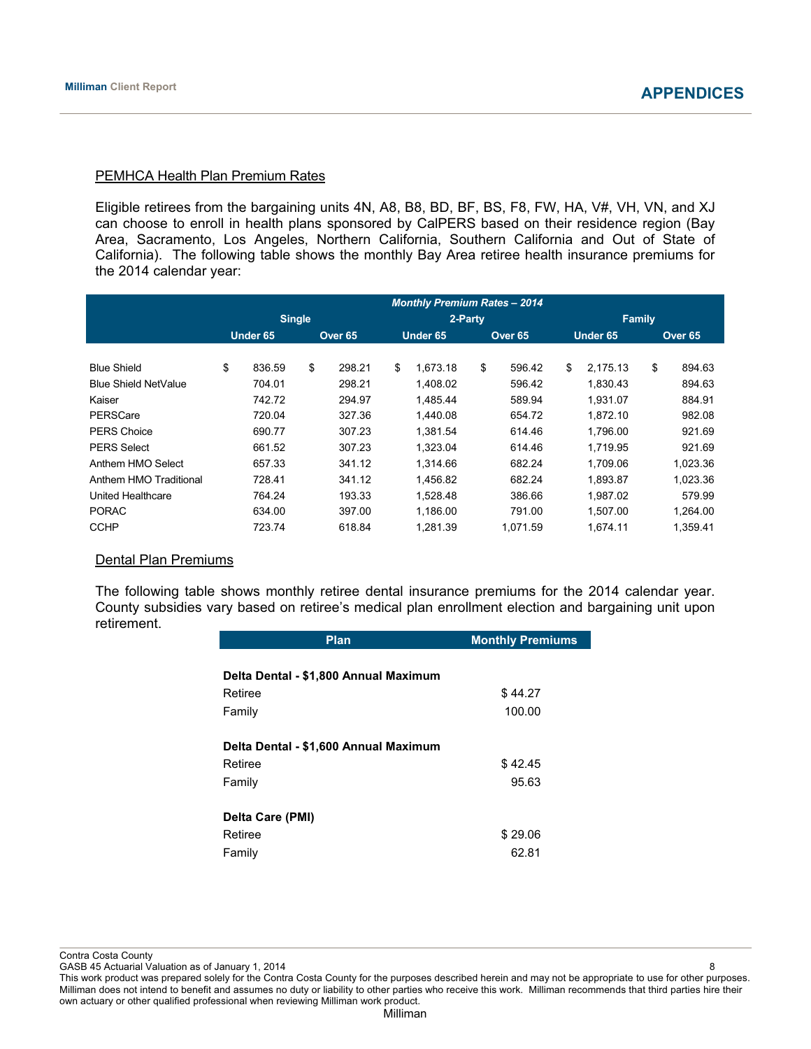### PEMHCA Health Plan Premium Rates

Eligible retirees from the bargaining units 4N, A8, B8, BD, BF, BS, F8, FW, HA, V#, VH, VN, and XJ can choose to enroll in health plans sponsored by CalPERS based on their residence region (Bay Area, Sacramento, Los Angeles, Northern California, Southern California and Out of State of California). The following table shows the monthly Bay Area retiree health insurance premiums for the 2014 calendar year:

|                             | <b>Monthly Premium Rates - 2014</b> |                          |    |                    |    |               |                    |                |    |          |
|-----------------------------|-------------------------------------|--------------------------|----|--------------------|----|---------------|--------------------|----------------|----|----------|
|                             |                                     | <b>Single</b><br>2-Party |    |                    |    | <b>Family</b> |                    |                |    |          |
|                             |                                     | <b>Under 65</b>          |    | Over <sub>65</sub> |    | Under 65      | Over <sub>65</sub> | Under 65       |    | Over 65  |
|                             |                                     |                          |    |                    |    |               |                    |                |    |          |
| <b>Blue Shield</b>          | \$                                  | 836.59                   | \$ | 298.21             | \$ | 1.673.18      | \$<br>596.42       | \$<br>2.175.13 | \$ | 894.63   |
| <b>Blue Shield NetValue</b> |                                     | 704.01                   |    | 298.21             |    | 1.408.02      | 596.42             | 1.830.43       |    | 894.63   |
| Kaiser                      |                                     | 742.72                   |    | 294.97             |    | 1,485.44      | 589.94             | 1,931.07       |    | 884.91   |
| PERSCare                    |                                     | 720.04                   |    | 327.36             |    | 1.440.08      | 654.72             | 1.872.10       |    | 982.08   |
| <b>PERS Choice</b>          |                                     | 690.77                   |    | 307.23             |    | 1.381.54      | 614.46             | 1.796.00       |    | 921.69   |
| <b>PERS Select</b>          |                                     | 661.52                   |    | 307.23             |    | 1,323.04      | 614.46             | 1.719.95       |    | 921.69   |
| Anthem HMO Select           |                                     | 657.33                   |    | 341.12             |    | 1.314.66      | 682.24             | 1.709.06       |    | 1.023.36 |
| Anthem HMO Traditional      |                                     | 728.41                   |    | 341.12             |    | 1.456.82      | 682.24             | 1.893.87       |    | 1,023.36 |
| United Healthcare           |                                     | 764.24                   |    | 193.33             |    | 1,528.48      | 386.66             | 1,987.02       |    | 579.99   |
| <b>PORAC</b>                |                                     | 634.00                   |    | 397.00             |    | 1.186.00      | 791.00             | 1.507.00       |    | 1.264.00 |
| <b>CCHP</b>                 |                                     | 723.74                   |    | 618.84             |    | 1.281.39      | 1.071.59           | 1.674.11       |    | 1,359.41 |

#### Dental Plan Premiums

The following table shows monthly retiree dental insurance premiums for the 2014 calendar year. County subsidies vary based on retiree's medical plan enrollment election and bargaining unit upon retirement.

| <b>Plan</b>                           | <b>Monthly Premiums</b> |
|---------------------------------------|-------------------------|
|                                       |                         |
| Delta Dental - \$1,800 Annual Maximum |                         |
| Retiree                               | \$44.27                 |
| Family                                | 100.00                  |
| Delta Dental - \$1,600 Annual Maximum |                         |
| Retiree                               | \$42.45                 |
| Family                                | 95.63                   |
| Delta Care (PMI)                      |                         |
| Retiree                               | \$29.06                 |
| Family                                | 62.81                   |
|                                       |                         |

Contra Costa County

GASB 45 Actuarial Valuation as of January 1, 2014 8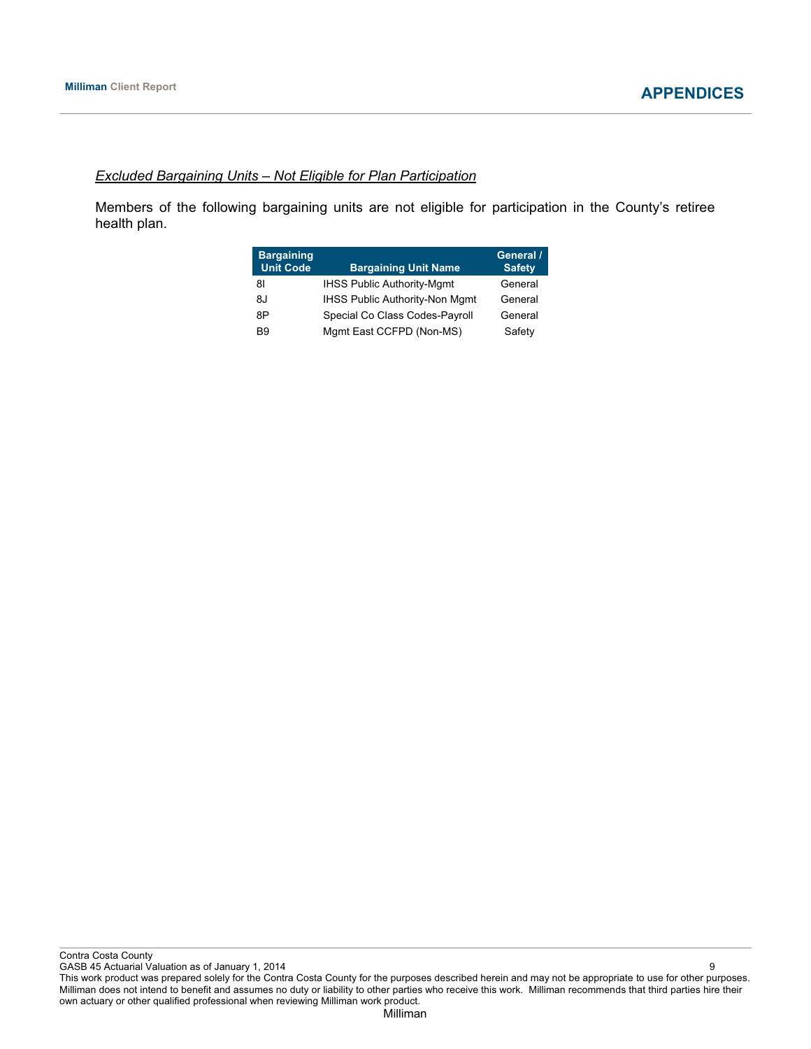## *Excluded Bargaining Units – Not Eligible for Plan Participation*

Members of the following bargaining units are not eligible for participation in the County's retiree health plan.

| <b>Bargaining</b><br><b>Unit Code</b> | <b>Bargaining Unit Name</b>           | General /<br><b>Safety</b> |
|---------------------------------------|---------------------------------------|----------------------------|
| 81                                    | <b>IHSS Public Authority-Mgmt</b>     | General                    |
| 8.I                                   | <b>IHSS Public Authority-Non Mgmt</b> | General                    |
| 8P                                    | Special Co Class Codes-Payroll        | General                    |
| <b>B</b> 9                            | Mqmt East CCFPD (Non-MS)              | Safety                     |

Contra Costa County

GASB 45 Actuarial Valuation as of January 1, 2014 9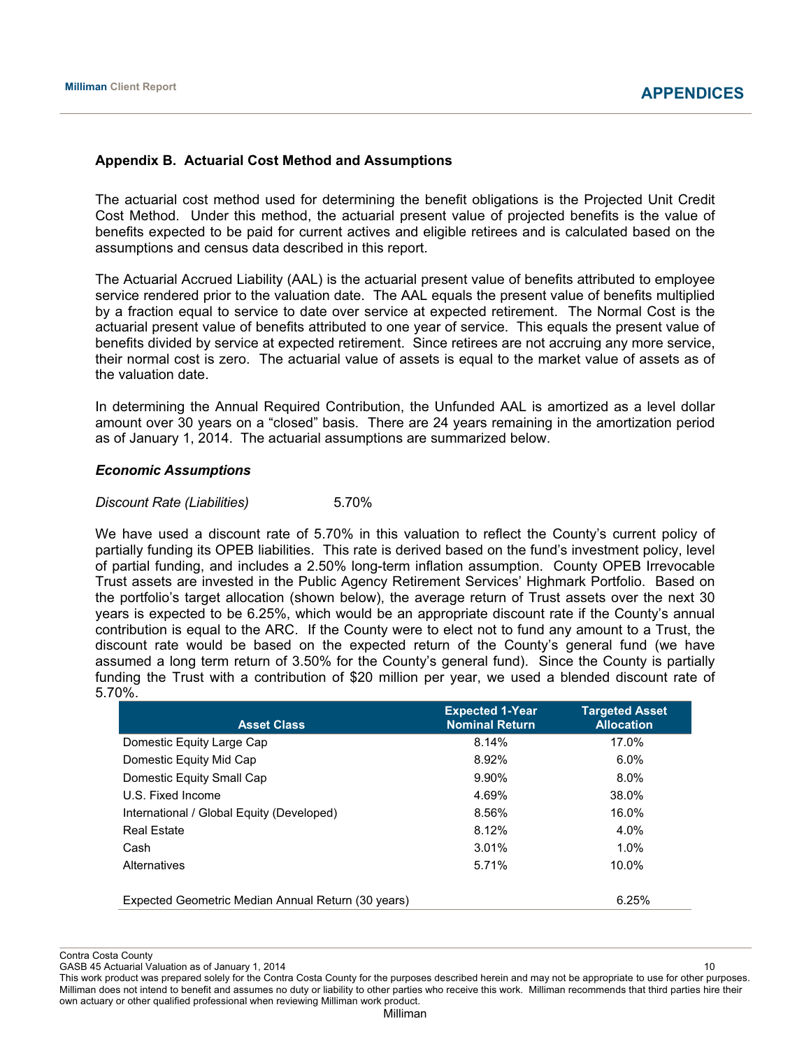## **Appendix B. Actuarial Cost Method and Assumptions**

The actuarial cost method used for determining the benefit obligations is the Projected Unit Credit Cost Method. Under this method, the actuarial present value of projected benefits is the value of benefits expected to be paid for current actives and eligible retirees and is calculated based on the assumptions and census data described in this report.

The Actuarial Accrued Liability (AAL) is the actuarial present value of benefits attributed to employee service rendered prior to the valuation date. The AAL equals the present value of benefits multiplied by a fraction equal to service to date over service at expected retirement. The Normal Cost is the actuarial present value of benefits attributed to one year of service. This equals the present value of benefits divided by service at expected retirement. Since retirees are not accruing any more service, their normal cost is zero. The actuarial value of assets is equal to the market value of assets as of the valuation date.

In determining the Annual Required Contribution, the Unfunded AAL is amortized as a level dollar amount over 30 years on a "closed" basis. There are 24 years remaining in the amortization period as of January 1, 2014. The actuarial assumptions are summarized below.

### *Economic Assumptions*

### *Discount Rate (Liabilities)* 5.70%

We have used a discount rate of 5.70% in this valuation to reflect the County's current policy of partially funding its OPEB liabilities. This rate is derived based on the fund's investment policy, level of partial funding, and includes a 2.50% long-term inflation assumption. County OPEB Irrevocable Trust assets are invested in the Public Agency Retirement Services' Highmark Portfolio. Based on the portfolio's target allocation (shown below), the average return of Trust assets over the next 30 years is expected to be 6.25%, which would be an appropriate discount rate if the County's annual contribution is equal to the ARC. If the County were to elect not to fund any amount to a Trust, the discount rate would be based on the expected return of the County's general fund (we have assumed a long term return of 3.50% for the County's general fund). Since the County is partially funding the Trust with a contribution of \$20 million per year, we used a blended discount rate of 5.70%.

| <b>Asset Class</b>                                 | <b>Expected 1-Year</b><br><b>Nominal Return</b> | <b>Targeted Asset</b><br><b>Allocation</b> |
|----------------------------------------------------|-------------------------------------------------|--------------------------------------------|
| Domestic Equity Large Cap                          | 8.14%                                           | 17.0%                                      |
| Domestic Equity Mid Cap                            | 8.92%                                           | $6.0\%$                                    |
| Domestic Equity Small Cap                          | 9.90%                                           | $8.0\%$                                    |
| U.S. Fixed Income                                  | 4.69%                                           | 38.0%                                      |
| International / Global Equity (Developed)          | 8.56%                                           | 16.0%                                      |
| <b>Real Estate</b>                                 | 8.12%                                           | 4.0%                                       |
| Cash                                               | 3.01%                                           | $1.0\%$                                    |
| Alternatives                                       | 5.71%                                           | $10.0\%$                                   |
| Expected Geometric Median Annual Return (30 years) |                                                 | 6.25%                                      |

Contra Costa County

GASB 45 Actuarial Valuation as of January 1, 2014 10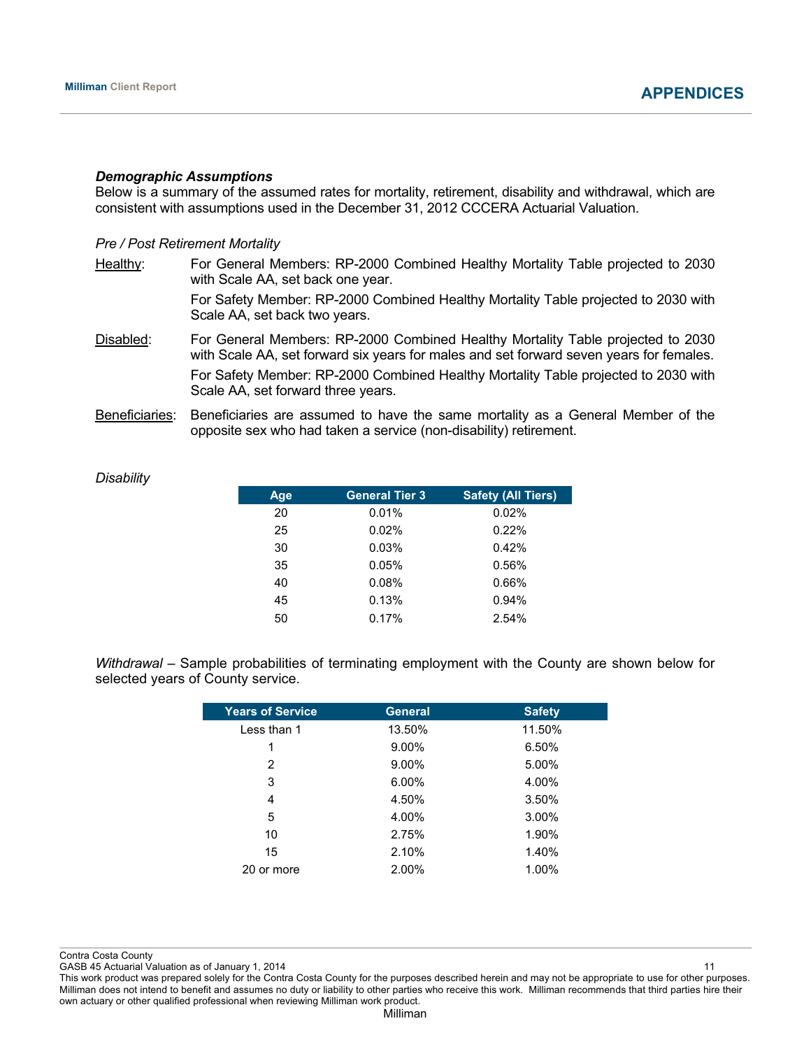*Disability*

#### *Demographic Assumptions*

Below is a summary of the assumed rates for mortality, retirement, disability and withdrawal, which are consistent with assumptions used in the December 31, 2012 CCCERA Actuarial Valuation.

### *Pre / Post Retirement Mortality*

- Healthy: For General Members: RP-2000 Combined Healthy Mortality Table projected to 2030 with Scale AA, set back one year. For Safety Member: RP-2000 Combined Healthy Mortality Table projected to 2030 with Scale AA, set back two years. Disabled: For General Members: RP-2000 Combined Healthy Mortality Table projected to 2030 with Scale AA, set forward six years for males and set forward seven years for females.
- For Safety Member: RP-2000 Combined Healthy Mortality Table projected to 2030 with Scale AA, set forward three years.
- Beneficiaries: Beneficiaries are assumed to have the same mortality as a General Member of the opposite sex who had taken a service (non-disability) retirement.

| Age | <b>General Tier 3</b> | <b>Safety (All Tiers)</b> |
|-----|-----------------------|---------------------------|
| 20  | 0.01%                 | 0.02%                     |
| 25  | 0.02%                 | 0.22%                     |
| 30  | 0.03%                 | 0.42%                     |
| 35  | 0.05%                 | 0.56%                     |
| 40  | 0.08%                 | 0.66%                     |
| 45  | 0.13%                 | 0.94%                     |
| 50  | 0.17%                 | 2.54%                     |

*Withdrawal* – Sample probabilities of terminating employment with the County are shown below for selected years of County service.

| <b>Years of Service</b> | <b>General</b> | <b>Safety</b> |
|-------------------------|----------------|---------------|
| Less than 1             | 13.50%         | 11.50%        |
| 1                       | $9.00\%$       | 6.50%         |
| $\mathcal{P}$           | $9.00\%$       | 5.00%         |
| 3                       | 6.00%          | 4.00%         |
| 4                       | 4.50%          | 3.50%         |
| 5                       | 4.00%          | $3.00\%$      |
| 10                      | 2.75%          | 1.90%         |
| 15                      | 2.10%          | 1.40%         |
| 20 or more              | 2.00%          | 1.00%         |

Contra Costa County

GASB 45 Actuarial Valuation as of January 1, 2014 11 12 12 14 14 15 16 17 18 18 19 19 10 11 11 11 11 11 11 11 1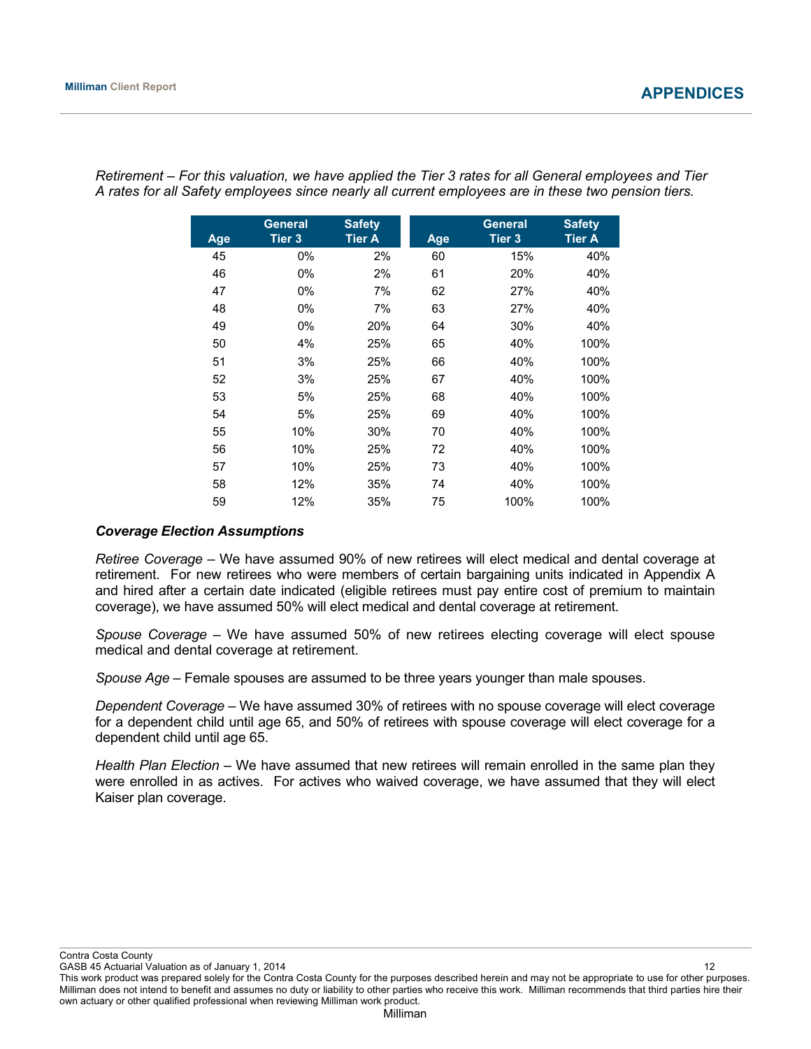| Age | <b>General</b><br><b>Tier 3</b> | <b>Safety</b><br><b>Tier A</b> | Age | <b>General</b><br>Tier 3 | <b>Safety</b><br><b>Tier A</b> |
|-----|---------------------------------|--------------------------------|-----|--------------------------|--------------------------------|
| 45  | 0%                              | 2%                             | 60  | 15%                      | 40%                            |
| 46  | 0%                              | 2%                             | 61  | 20%                      | 40%                            |
| 47  | $0\%$                           | 7%                             | 62  | 27%                      | 40%                            |
| 48  | $0\%$                           | 7%                             | 63  | 27%                      | 40%                            |
| 49  | 0%                              | 20%                            | 64  | 30%                      | 40%                            |
| 50  | 4%                              | 25%                            | 65  | 40%                      | 100%                           |
| 51  | 3%                              | 25%                            | 66  | 40%                      | 100%                           |
| 52  | 3%                              | 25%                            | 67  | 40%                      | 100%                           |
| 53  | 5%                              | 25%                            | 68  | 40%                      | 100%                           |
| 54  | 5%                              | 25%                            | 69  | 40%                      | 100%                           |
| 55  | 10%                             | 30%                            | 70  | 40%                      | 100%                           |
| 56  | 10%                             | 25%                            | 72  | 40%                      | 100%                           |
| 57  | 10%                             | 25%                            | 73  | 40%                      | 100%                           |
| 58  | 12%                             | 35%                            | 74  | 40%                      | 100%                           |
| 59  | 12%                             | 35%                            | 75  | 100%                     | 100%                           |

*Retirement – For this valuation, we have applied the Tier 3 rates for all General employees and Tier A rates for all Safety employees since nearly all current employees are in these two pension tiers.* 

## *Coverage Election Assumptions*

*Retiree Coverage –* We have assumed 90% of new retirees will elect medical and dental coverage at retirement. For new retirees who were members of certain bargaining units indicated in Appendix A and hired after a certain date indicated (eligible retirees must pay entire cost of premium to maintain coverage), we have assumed 50% will elect medical and dental coverage at retirement.

*Spouse Coverage* – We have assumed 50% of new retirees electing coverage will elect spouse medical and dental coverage at retirement.

*Spouse Age* – Female spouses are assumed to be three years younger than male spouses.

*Dependent Coverage –* We have assumed 30% of retirees with no spouse coverage will elect coverage for a dependent child until age 65, and 50% of retirees with spouse coverage will elect coverage for a dependent child until age 65.

*Health Plan Election* – We have assumed that new retirees will remain enrolled in the same plan they were enrolled in as actives. For actives who waived coverage, we have assumed that they will elect Kaiser plan coverage.

Contra Costa County

GASB 45 Actuarial Valuation as of January 1, 2014 12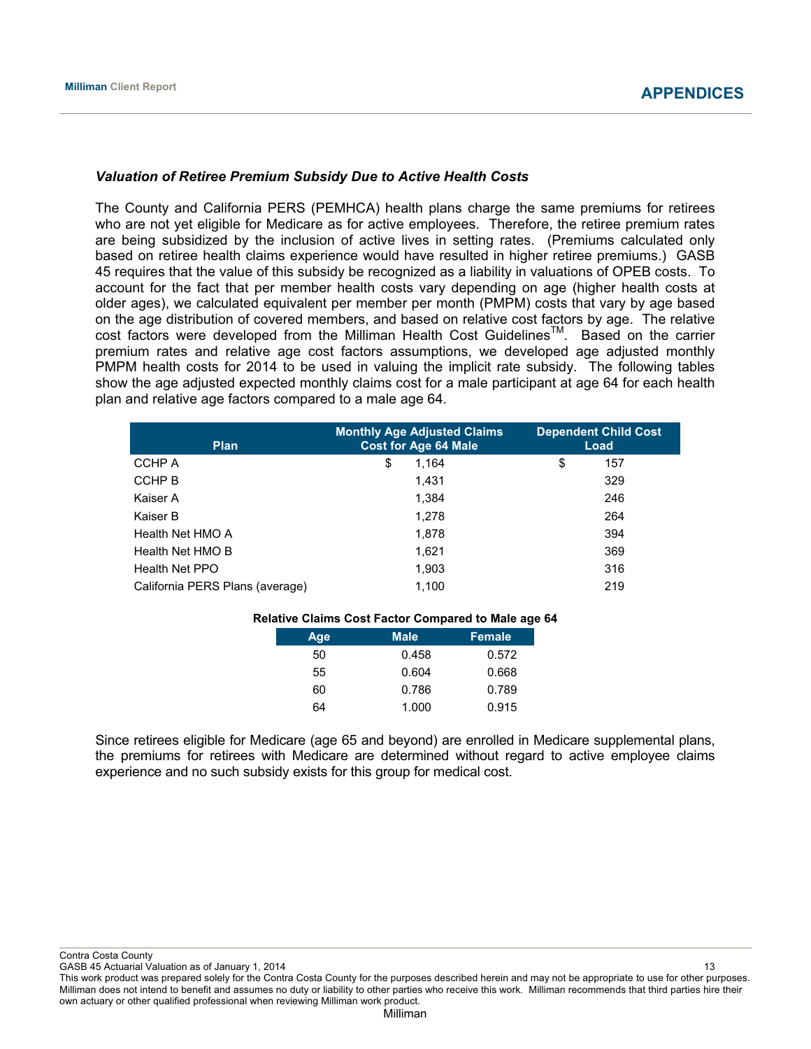## *Valuation of Retiree Premium Subsidy Due to Active Health Costs*

The County and California PERS (PEMHCA) health plans charge the same premiums for retirees who are not yet eligible for Medicare as for active employees. Therefore, the retiree premium rates are being subsidized by the inclusion of active lives in setting rates. (Premiums calculated only based on retiree health claims experience would have resulted in higher retiree premiums.) GASB 45 requires that the value of this subsidy be recognized as a liability in valuations of OPEB costs. To account for the fact that per member health costs vary depending on age (higher health costs at older ages), we calculated equivalent per member per month (PMPM) costs that vary by age based on the age distribution of covered members, and based on relative cost factors by age. The relative cost factors were developed from the Milliman Health Cost Guidelines™. Based on the carrier premium rates and relative age cost factors assumptions, we developed age adjusted monthly PMPM health costs for 2014 to be used in valuing the implicit rate subsidy. The following tables show the age adjusted expected monthly claims cost for a male participant at age 64 for each health plan and relative age factors compared to a male age 64.

| <b>Plan</b>                     | <b>Monthly Age Adjusted Claims</b><br><b>Cost for Age 64 Male</b> | <b>Dependent Child Cost</b><br>Load |
|---------------------------------|-------------------------------------------------------------------|-------------------------------------|
| CCHP A                          | \$<br>1.164                                                       | \$<br>157                           |
| CCHP B                          | 1.431                                                             | 329                                 |
| Kaiser A                        | 1.384                                                             | 246                                 |
| Kaiser B                        | 1.278                                                             | 264                                 |
| Health Net HMO A                | 1,878                                                             | 394                                 |
| Health Net HMO B                | 1,621                                                             | 369                                 |
| Health Net PPO                  | 1.903                                                             | 316                                 |
| California PERS Plans (average) | 1.100                                                             | 219                                 |

#### **Relative Claims Cost Factor Compared to Male age 64**

| Age | Male  | <b>Female</b> |
|-----|-------|---------------|
| 50  | 0.458 | 0.572         |
| 55  | 0.604 | 0.668         |
| 60  | 0.786 | 0.789         |
| 64  | 1.000 | 0.915         |

Since retirees eligible for Medicare (age 65 and beyond) are enrolled in Medicare supplemental plans, the premiums for retirees with Medicare are determined without regard to active employee claims experience and no such subsidy exists for this group for medical cost.

Contra Costa County

GASB 45 Actuarial Valuation as of January 1, 2014 13 and 13 and 13 and 13 and 13 and 13 and 13 and 13 and 13 and 13 and 13 and 13 and 13 and 13 and 13 and 13 and 13 and 13 and 13 and 13 and 13 and 13 and 13 and 13 and 13 a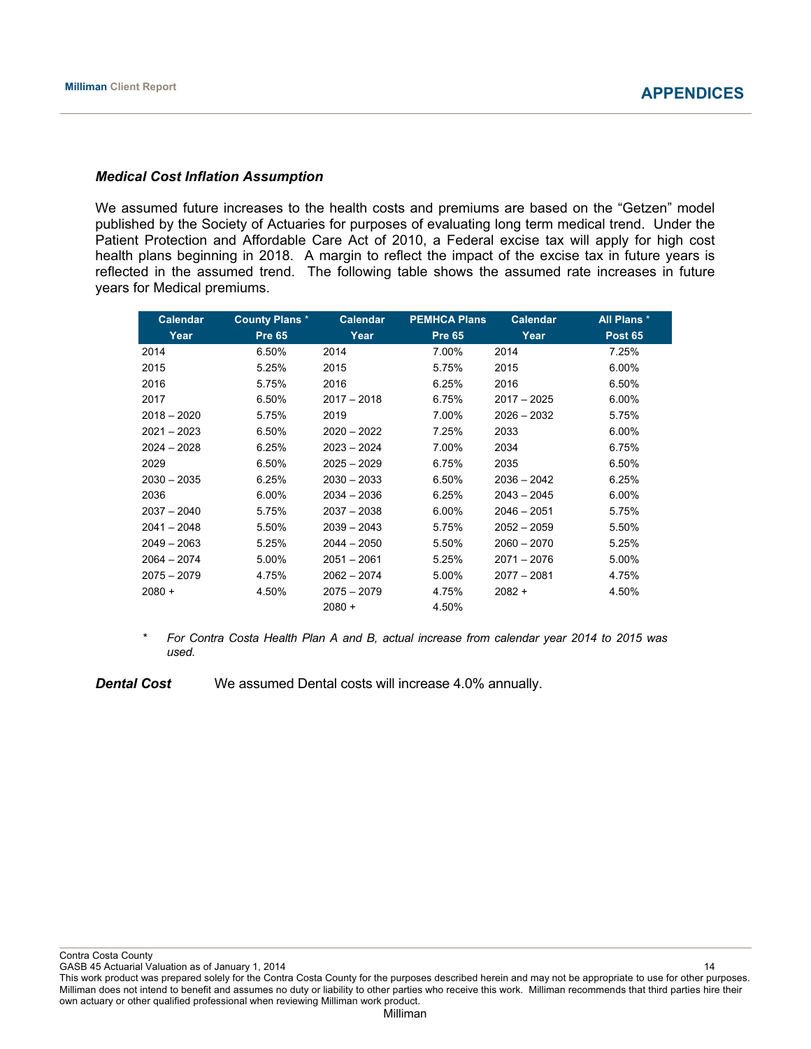### *Medical Cost Inflation Assumption*

We assumed future increases to the health costs and premiums are based on the "Getzen" model published by the Society of Actuaries for purposes of evaluating long term medical trend. Under the Patient Protection and Affordable Care Act of 2010, a Federal excise tax will apply for high cost health plans beginning in 2018. A margin to reflect the impact of the excise tax in future years is reflected in the assumed trend. The following table shows the assumed rate increases in future years for Medical premiums.

| <b>Calendar</b> | <b>County Plans*</b> | <b>Calendar</b> | <b>PEMHCA Plans</b> | <b>Calendar</b> | All Plans*     |
|-----------------|----------------------|-----------------|---------------------|-----------------|----------------|
| Year            | <b>Pre 65</b>        | Year            | <b>Pre 65</b>       | Year            | <b>Post 65</b> |
| 2014            | 6.50%                | 2014            | 7.00%               | 2014            | 7.25%          |
| 2015            | 5.25%                | 2015            | 5.75%               | 2015            | $6.00\%$       |
| 2016            | 5.75%                | 2016            | 6.25%               | 2016            | 6.50%          |
| 2017            | 6.50%                | $2017 - 2018$   | 6.75%               | $2017 - 2025$   | 6.00%          |
| $2018 - 2020$   | 5.75%                | 2019            | 7.00%               | $2026 - 2032$   | 5.75%          |
| $2021 - 2023$   | 6.50%                | $2020 - 2022$   | 7.25%               | 2033            | $6.00\%$       |
| $2024 - 2028$   | 6.25%                | $2023 - 2024$   | 7.00%               | 2034            | 6.75%          |
| 2029            | 6.50%                | $2025 - 2029$   | 6.75%               | 2035            | 6.50%          |
| $2030 - 2035$   | 6.25%                | $2030 - 2033$   | 6.50%               | $2036 - 2042$   | 6.25%          |
| 2036            | $6.00\%$             | 2034 – 2036     | 6.25%               | $2043 - 2045$   | 6.00%          |
| $2037 - 2040$   | 5.75%                | 2037 - 2038     | $6.00\%$            | 2046 – 2051     | 5.75%          |
| $2041 - 2048$   | 5.50%                | $2039 - 2043$   | 5.75%               | 2052 - 2059     | 5.50%          |
| $2049 - 2063$   | 5.25%                | $2044 - 2050$   | 5.50%               | 2060 - 2070     | 5.25%          |
| $2064 - 2074$   | 5.00%                | $2051 - 2061$   | 5.25%               | $2071 - 2076$   | 5.00%          |
| $2075 - 2079$   | 4.75%                | $2062 - 2074$   | 5.00%               | $2077 - 2081$   | 4.75%          |
| $2080 +$        | 4.50%                | 2075 – 2079     | 4.75%               | $2082 +$        | 4.50%          |
|                 |                      | $2080 +$        | 4.50%               |                 |                |

\* *For Contra Costa Health Plan A and B, actual increase from calendar year 2014 to 2015 was used.*

**Dental Cost** We assumed Dental costs will increase 4.0% annually.

Contra Costa County

GASB 45 Actuarial Valuation as of January 1, 2014 14